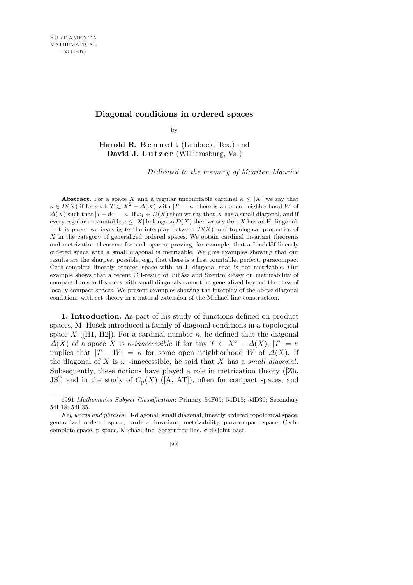## **Diagonal conditions in ordered spaces**

by

Harold R. Bennett (Lubbock, Tex.) and **David J. Lutzer** (Williamsburg, Va.)

*Dedicated to the memory of Maarten Maurice*

**Abstract.** For a space *X* and a regular uncountable cardinal  $\kappa \leq |X|$  we say that  $\kappa \in D(X)$  if for each  $T \subset X^2 - \Delta(X)$  with  $|T| = \kappa$ , there is an open neighborhood *W* of  $Δ(X)$  such that  $|T - W| = κ$ . If  $ω_1 ∈ D(X)$  then we say that *X* has a small diagonal, and if every regular uncountable  $\kappa \leq |X|$  belongs to  $D(X)$  then we say that X has an H-diagonal. In this paper we investigate the interplay between  $D(X)$  and topological properties of *X* in the category of generalized ordered spaces. We obtain cardinal invariant theorems and metrization theorems for such spaces, proving, for example, that a Lindelöf linearly ordered space with a small diagonal is metrizable. We give examples showing that our results are the sharpest possible, e.g., that there is a first countable, perfect, paracompact  $\check{C}$ ech-complete linearly ordered space with an H-diagonal that is not metrizable. Our example shows that a recent CH-result of Juhász and Szentmiklóssy on metrizability of compact Hausdorff spaces with small diagonals cannot be generalized beyond the class of locally compact spaces. We present examples showing the interplay of the above diagonal conditions with set theory in a natural extension of the Michael line construction.

**1. Introduction.** As part of his study of functions defined on product spaces, M. Hušek introduced a family of diagonal conditions in a topological space *X* ([H1, H2]). For a cardinal number  $\kappa$ , he defined that the diagonal *∆*(*X*) of a space *X* is *κ*-*inaccessible* if for any  $T \subset X^2 - \Delta(X)$ ,  $|T| = \kappa$ implies that  $|T - W| = \kappa$  for some open neighborhood *W* of  $\Delta(X)$ . If the diagonal of *X* is  $\omega_1$ -inaccessible, he said that *X* has a *small diagonal*. Subsequently, these notions have played a role in metrization theory ([Zh, JS]) and in the study of  $C_p(X)$  ([A, AT]), often for compact spaces, and

<sup>1991</sup> *Mathematics Subject Classification*: Primary 54F05; 54D15; 54D30; Secondary 54E18; 54E35.

*Key words and phrases*: H-diagonal, small diagonal, linearly ordered topological space, generalized ordered space, cardinal invariant, metrizability, paracompact space, Cechcomplete space, p-space, Michael line, Sorgenfrey line,  $\sigma$ -disjoint base.

<sup>[99]</sup>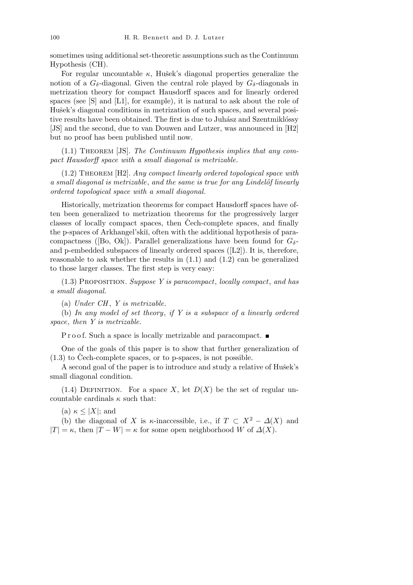sometimes using additional set-theoretic assumptions such as the Continuum Hypothesis (CH).

For regular uncountable  $\kappa$ , Hušek's diagonal properties generalize the notion of a  $G_{\delta}$ -diagonal. Given the central role played by  $G_{\delta}$ -diagonals in metrization theory for compact Hausdorff spaces and for linearly ordered spaces (see [S] and [L1], for example), it is natural to ask about the role of Hušek's diagonal conditions in metrization of such spaces, and several positive results have been obtained. The first is due to Juhász and Szentmiklóssy [JS] and the second, due to van Douwen and Lutzer, was announced in [H2] but no proof has been published until now.

(1.1) Theorem [JS]. *The Continuum Hypothesis implies that any compact Hausdorff space with a small diagonal is metrizable.*

(1.2) Theorem [H2]. *Any compact linearly ordered topological space with a small diagonal is metrizable*, *and the same is true for any Lindel¨of linearly ordered topological space with a small diagonal.*

Historically, metrization theorems for compact Hausdorff spaces have often been generalized to metrization theorems for the progressively larger classes of locally compact spaces, then Cech-complete spaces, and finally the p-spaces of Arkhangel'ski˘ı, often with the additional hypothesis of paracompactness ([Bo, Ok]). Parallel generalizations have been found for  $G_{\delta}$ and p-embedded subspaces of linearly ordered spaces  $([L2])$ . It is, therefore, reasonable to ask whether the results in  $(1.1)$  and  $(1.2)$  can be generalized to those larger classes. The first step is very easy:

(1.3) Proposition. *Suppose Y is paracompact*, *locally compact*, *and has a small diagonal.*

(a) *Under CH* , *Y is metrizable.*

(b) *In any model of set theory*, *if Y is a subspace of a linearly ordered space*, *then Y is metrizable.*

P r o o f. Such a space is locally metrizable and paracompact.

One of the goals of this paper is to show that further generalization of  $(1.3)$  to Cech-complete spaces, or to p-spaces, is not possible.

A second goal of the paper is to introduce and study a relative of Hušek's small diagonal condition.

(1.4) DEFINITION. For a space X, let  $D(X)$  be the set of regular uncountable cardinals  $\kappa$  such that:

 $(\text{a}) \kappa \leq |X|$ ; and

(b) the diagonal of *X* is *κ*-inaccessible, i.e., if  $T \subset X^2 - \Delta(X)$  and  $|T| = \kappa$ , then  $|T - W| = \kappa$  for some open neighborhood *W* of  $\Delta(X)$ .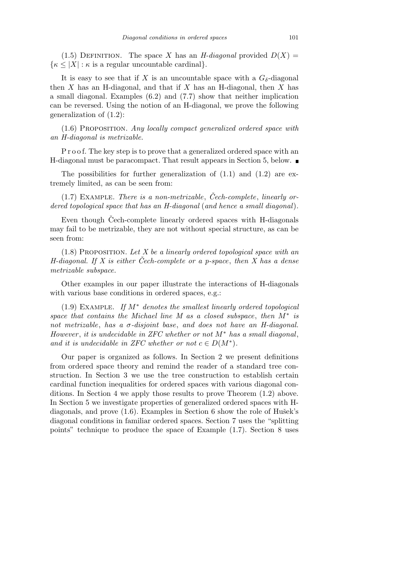(1.5) DEFINITION. The space *X* has an *H-diagonal* provided  $D(X)$  =  $\{\kappa \leq |X| : \kappa \text{ is a regular uncountable cardinal}\}.$ 

It is easy to see that if *X* is an uncountable space with a  $G_{\delta}$ -diagonal then *X* has an H-diagonal, and that if *X* has an H-diagonal, then *X* has a small diagonal. Examples (6.2) and (7.7) show that neither implication can be reversed. Using the notion of an H-diagonal, we prove the following generalization of (1.2):

(1.6) Proposition. *Any locally compact generalized ordered space with an H-diagonal is metrizable.*

P r o o f. The key step is to prove that a generalized ordered space with an H-diagonal must be paracompact. That result appears in Section 5, below.

The possibilities for further generalization of  $(1.1)$  and  $(1.2)$  are extremely limited, as can be seen from:

 $(1.7)$  EXAMPLE. *There is a non-metrizable*, *Čech-complete*, *linearly ordered topological space that has an H-diagonal* (*and hence a small diagonal*)*.*

Even though Cech-complete linearly ordered spaces with H-diagonals may fail to be metrizable, they are not without special structure, as can be seen from:

(1.8) Proposition. *Let X be a linearly ordered topological space with an H-diagonal. If X is either Cech-complete or a p-space ˇ* , *then X has a dense metrizable subspace.*

Other examples in our paper illustrate the interactions of H-diagonals with various base conditions in ordered spaces, e.g.:

(1.9) Example. *If M<sup>∗</sup> denotes the smallest linearly ordered topological space that contains the Michael line M as a closed subspace*, *then M<sup>∗</sup> is not metrizable*, *has a σ-disjoint base*, *and does not have an H-diagonal. However* , *it is undecidable in ZFC whether or not M<sup>∗</sup> has a small diagonal*, *and it is undecidable in ZFC whether or not*  $c \in D(M^*)$ *.* 

Our paper is organized as follows. In Section 2 we present definitions from ordered space theory and remind the reader of a standard tree construction. In Section 3 we use the tree construction to establish certain cardinal function inequalities for ordered spaces with various diagonal conditions. In Section 4 we apply those results to prove Theorem (1.2) above. In Section 5 we investigate properties of generalized ordered spaces with Hdiagonals, and prove  $(1.6)$ . Examples in Section 6 show the role of Hušek's diagonal conditions in familiar ordered spaces. Section 7 uses the "splitting points" technique to produce the space of Example (1.7). Section 8 uses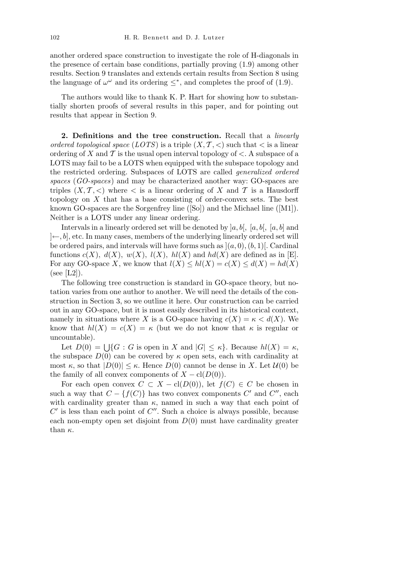another ordered space construction to investigate the role of H-diagonals in the presence of certain base conditions, partially proving (1.9) among other results. Section 9 translates and extends certain results from Section 8 using the language of  $\omega^{\omega}$  and its ordering  $\leq^*$ , and completes the proof of (1.9).

The authors would like to thank K. P. Hart for showing how to substantially shorten proofs of several results in this paper, and for pointing out results that appear in Section 9.

**2. Definitions and the tree construction.** Recall that a *linearly ordered topological space* (*LOTS*) is a triple  $(X, \mathcal{T}, <)$  such that  $<$  is a linear ordering of *X* and *T* is the usual open interval topology of *<*. A subspace of a LOTS may fail to be a LOTS when equipped with the subspace topology and the restricted ordering. Subspaces of LOTS are called *generalized ordered spaces* (*GO-spaces*) and may be characterized another way: GO-spaces are triples  $(X, \mathcal{T}, <)$  where  $\lt$  is a linear ordering of X and T is a Hausdorff topology on *X* that has a base consisting of order-convex sets. The best known GO-spaces are the Sorgenfrey line ([So]) and the Michael line ([M1]). Neither is a LOTS under any linear ordering.

Intervals in a linearly ordered set will be denoted by ]*a, b*[*,* [*a, b*[*,* [*a, b*] and ]*←, b*], etc. In many cases, members of the underlying linearly ordered set will be ordered pairs, and intervals will have forms such as  $|(a, 0), (b, 1)|$ . Cardinal functions  $c(X)$ *,*  $d(X)$ *,*  $w(X)$ *,*  $l(X)$ *,*  $hl(X)$  and  $hd(X)$  are defined as in [E]. For any GO-space *X*, we know that  $l(X) \leq hl(X) = c(X) \leq d(X) = hd(X)$  $(see [L2]).$ 

The following tree construction is standard in GO-space theory, but notation varies from one author to another. We will need the details of the construction in Section 3, so we outline it here. Our construction can be carried out in any GO-space, but it is most easily described in its historical context, namely in situations where *X* is a GO-space having  $c(X) = \kappa < d(X)$ . We know that  $h(X) = c(X) = \kappa$  (but we do not know that  $\kappa$  is regular or uncountable).

Let  $D(0) = \bigcup \{ G : G$  is open in *X* and  $|G| \leq \kappa \}$ . Because  $hl(X) = \kappa$ , the subspace  $D(0)$  can be covered by  $\kappa$  open sets, each with cardinality at most  $\kappa$ , so that  $|D(0)| \leq \kappa$ . Hence  $D(0)$  cannot be dense in X. Let  $\mathcal{U}(0)$  be the family of all convex components of  $X - \text{cl}(D(0))$ .

For each open convex  $C \subset X - \text{cl}(D(0))$ , let  $f(C) \in C$  be chosen in such a way that  $C - \{f(C)\}\$ has two convex components  $C'$  and  $C''$ , each with cardinality greater than  $\kappa$ , named in such a way that each point of  $C'$  is less than each point of  $C''$ . Such a choice is always possible, because each non-empty open set disjoint from  $D(0)$  must have cardinality greater than *κ*.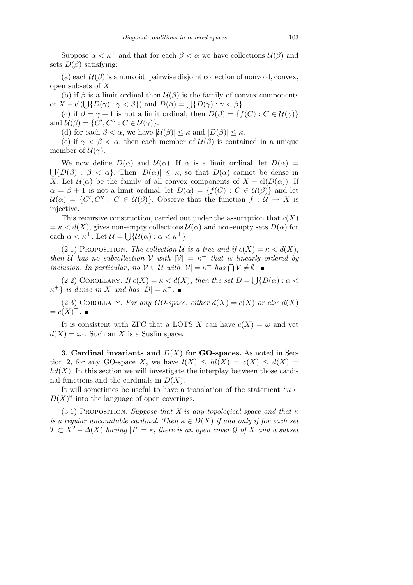Suppose  $\alpha < \kappa^+$  and that for each  $\beta < \alpha$  we have collections  $\mathcal{U}(\beta)$  and sets  $D(\beta)$  satisfying:

(a) each  $\mathcal{U}(\beta)$  is a nonvoid, pairwise disjoint collection of nonvoid, convex, open subsets of *X*;

(b) if  $\beta$  is a limit ordinal then  $\mathcal{U}(\beta)$  is the family of convex components of  $X - \text{cl}(\bigcup \{D(\gamma) : \gamma < \beta\})$  and  $D(\beta) = \bigcup \{D(\gamma) : \gamma < \beta\}.$ 

(c) if  $\beta = \gamma + 1$  is not a limit ordinal, then  $D(\beta) = \{f(C) : C \in \mathcal{U}(\gamma)\}\$ and  $\mathcal{U}(\beta) = \{C', C'' : C \in \mathcal{U}(\gamma)\}.$ 

(d) for each  $\beta < \alpha$ , we have  $|\mathcal{U}(\beta)| \leq \kappa$  and  $|D(\beta)| \leq \kappa$ .

(e) if  $\gamma < \beta < \alpha$ , then each member of  $\mathcal{U}(\beta)$  is contained in a unique member of  $\mathcal{U}(\gamma)$ .

We now define  $D(\alpha)$  and  $U(\alpha)$ . If  $\alpha$  is a limit ordinal, let  $D(\alpha)$  = S  ${D(\beta) : \beta < \alpha}$ . Then  $|D(\alpha)| \leq \kappa$ , so that  $D(\alpha)$  cannot be dense in *X*. Let  $\mathcal{U}(\alpha)$  be the family of all convex components of  $X - \text{cl}(D(\alpha))$ . If  $\alpha = \beta + 1$  is not a limit ordinal, let  $D(\alpha) = \{f(C) : C \in \mathcal{U}(\beta)\}\$ and let  $U(\alpha) = \{C', C'' : C \in U(\beta)\}\$ . Observe that the function  $f : U \to X$  is injective.

This recursive construction, carried out under the assumption that  $c(X)$  $= \kappa < d(X)$ , gives non-empty collections  $\mathcal{U}(\alpha)$  and non-empty sets  $D(\alpha)$  for each  $\alpha < \kappa^+$ . Let  $\mathcal{U} = \bigcup \{ \mathcal{U}(\alpha) : \alpha < \kappa^+ \}.$ 

(2.1) PROPOSITION. *The collection U is a tree and if*  $c(X) = \kappa < d(X)$ , *then U has no subcollection V with*  $|V| = \kappa^+$  *that is linearly ordered by inclusion. In particular, no*  $V \subset U$  *with*  $|V| = \kappa^+$  *has*  $\bigcap V \neq \emptyset$ *.* 

 $(2.2)$  COROLLARY. *If*  $c(X) = \kappa < d(X)$ , *then the set*  $D =$ S  ${D(\alpha) : \alpha <}$  $\{\kappa^+\}$  *is dense in X and has*  $|D| = \kappa^+$ .

(2.3) COROLLARY. For any GO-space, either  $d(X) = c(X)$  or else  $d(X)$  $= c(X)^{+}.$ 

It is consistent with ZFC that a LOTS *X* can have  $c(X) = \omega$  and yet  $d(X) = \omega_1$ . Such an *X* is a Suslin space.

**3. Cardinal invariants and** *D*(*X*) **for GO-spaces.** As noted in Section 2, for any GO-space *X*, we have  $l(X) \leq hl(X) = c(X) \leq d(X) =$  $hd(X)$ . In this section we will investigate the interplay between those cardinal functions and the cardinals in  $D(X)$ .

It will sometimes be useful to have a translation of the statement "*κ ∈*  $D(X)$ " into the language of open coverings.

(3.1) PROPOSITION. *Suppose that* X is any topological space and that  $\kappa$ *is a regular uncountable cardinal. Then*  $\kappa \in D(X)$  *if and only if for each set T*  $\subset$  *X*<sup>2</sup> −  $\Delta$ (*X*) *having*  $|T| = \kappa$ , *there is an open cover G of X and a subset*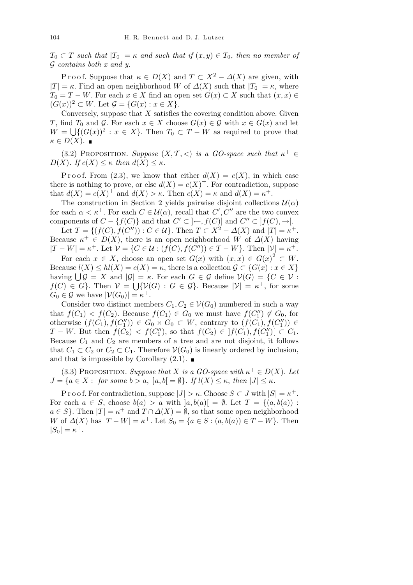$T_0 \subset T$  *such that*  $|T_0| = \kappa$  *and such that if*  $(x, y) \in T_0$ *, then no member of G contains both x and y.*

P r o o f. Suppose that  $\kappa \in D(X)$  and  $T \subset X^2 - \Delta(X)$  are given, with  $|T| = \kappa$ . Find an open neighborhood *W* of  $\Delta(X)$  such that  $|T_0| = \kappa$ , where  $T_0 = T - W$ . For each  $x \in X$  find an open set  $G(x) \subset X$  such that  $(x, x) \in$  $(G(x))^2$  ⊂ *W*. Let  $\mathcal{G} = \{G(x) : x \in X\}.$ 

Conversely, suppose that *X* satisfies the covering condition above. Given *T*, find *T*<sub>0</sub> and *G*. For each  $x \in X$  choose  $G(x) \in G$  with  $x \in G(x)$  and let  $W = \bigcup \{ (G(x))^2 : x \in X \}.$  Then  $T_0 \subset T - W$  as required to prove that  $\kappa \in D(X)$ .

(3.2) PROPOSITION. *Suppose*  $(X, \mathcal{T}, <)$  *is a GO-space such that*  $\kappa^+ \in$  $D(X)$ *.* If  $c(X) \leq \kappa$  then  $d(X) \leq \kappa$ .

Proof. From (2.3), we know that either  $d(X) = c(X)$ , in which case there is nothing to prove, or else  $d(X) = c(X)^+$ . For contradiction, suppose that  $d(X) = c(X)^{+}$  and  $d(X) > \kappa$ . Then  $c(X) = \kappa$  and  $d(X) = \kappa^{+}$ .

The construction in Section 2 yields pairwise disjoint collections  $\mathcal{U}(\alpha)$ for each  $\alpha < \kappa^+$ . For each  $C \in \mathcal{U}(\alpha)$ , recall that  $C', C''$  are the two convex components of  $C - \{f(C)\}\$ and that  $C' \subset \left\} \leftarrow$ ,  $f(C)$  and  $C'' \subset \left\{f(C), \rightarrow\right\}$ .

Let  $T = \{(f(C), f(C'')) : C \in U\}$ . Then  $T \subset X^2 - \Delta(X)$  and  $|T| = \kappa^+$ . Because  $\kappa^+ \in D(X)$ , there is an open neighborhood *W* of  $\Delta(X)$  having  $|T-W| = \kappa^+$ . Let  $V = \{C \in \mathcal{U} : (f(C), f(C'')) \in T - W\}$ . Then  $|V| = \kappa^+$ .

For each  $x \in X$ , choose an open set  $G(x)$  with  $(x, x) \in G(x)^2 \subset W$ . Because  $l(X) \leq hl(X) = c(X) = \kappa$ , there is a collection  $\mathcal{G} \subset \{G(x) : x \in X\}$ because  $\iota(\Lambda) \leq \iota\iota(\Lambda) = c(\Lambda) = \kappa$ , there is a conection  $\mathcal{G} \subset \{G(x) : x \in \Lambda\}$ <br>having  $\bigcup \mathcal{G} = X$  and  $|\mathcal{G}| = \kappa$ . For each  $G \in \mathcal{G}$  define  $\mathcal{V}(G) = \{C \in \mathcal{V} :$  $f(C) \in G$ . Then  $V = \bigcup \{V(G) : G \in \mathcal{G}\}\$ . Because  $|V| = \kappa^+$ , for some  $G_0 \in \mathcal{G}$  we have  $|\mathcal{V}(G_0)| = \kappa^+$ .

Consider two distinct members  $C_1, C_2 \in V(G_0)$  numbered in such a way that  $f(C_1) < f(C_2)$ . Because  $f(C_1) \in G_0$  we must have  $f(C_1'') \notin G_0$ , for otherwise  $(f(C_1), f(C_1'')) \in G_0 \times G_0 \subset W$ , contrary to  $(f(C_1), f(C_1'')) \in$ *T* − *W*. But then  $f(C_2) < f(C_1'')$ , so that  $f(C_2) \in |f(C_1), f(C_1'')| \subset C_1$ . Because  $C_1$  and  $C_2$  are members of a tree and are not disjoint, it follows that  $C_1 \subset C_2$  or  $C_2 \subset C_1$ . Therefore  $\mathcal{V}(G_0)$  is linearly ordered by inclusion, and that is impossible by Corollary  $(2.1)$ .

(3.3) PROPOSITION. *Suppose that X is a GO-space with*  $\kappa^+ \in D(X)$ . Let  $J = \{a \in X : \text{ for some } b > a, \ |a, b| = \emptyset\}$ . If  $l(X) \leq \kappa$ , then  $|J| \leq \kappa$ .

P r o o f. For contradiction, suppose  $|J| > \kappa$ . Choose  $S \subset J$  with  $|S| = \kappa^+$ . For each  $a \in S$ , choose  $b(a) > a$  with  $|a, b(a)| = \emptyset$ . Let  $T = \{(a, b(a))$ :  $a \in S$ }. Then  $|T| = \kappa^+$  and  $T \cap \Delta(X) = \emptyset$ , so that some open neighborhood *W* of  $\Delta(X)$  has  $|T - W| = \kappa^+$ . Let  $S_0 = \{a \in S : (a, b(a)) \in T - W\}$ . Then  $|S_0| = \kappa^+$ .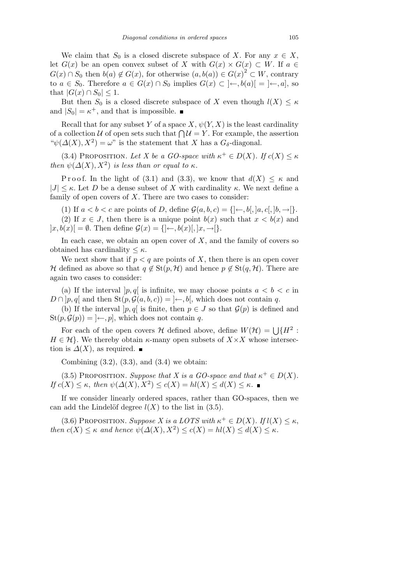We claim that  $S_0$  is a closed discrete subspace of *X*. For any  $x \in X$ , let  $G(x)$  be an open convex subset of *X* with  $G(x) \times G(x) \subset W$ . If  $a \in$ *G*(*x*) ∩ *S*<sub>0</sub> then *b*(*a*)  $\notin G(x)$ , for otherwise  $(a, b(a)) \in G(x)^{2} \subset W$ , contrary to *a*  $\in$  *S*<sub>0</sub>. Therefore *a*  $\in$  *G*(*x*) ∩ *S*<sub>0</sub> implies *G*(*x*) ⊂ ]←*, b*(*a*)[ = ]←*, a*], so  $\text{that } |G(x) \cap S_0|$  ≤ 1.

But then  $S_0$  is a closed discrete subspace of *X* even though  $l(X) \leq \kappa$ and  $|S_0| = \kappa^+$ , and that is impossible.

Recall that for any subset *Y* of a space *X*,  $\psi(Y, X)$  is the least cardinality recall that for any subset  $Y$  or a space  $X$ ,  $\psi(Y, X)$  is the least cardinality of a collection  $U$  of open sets such that  $\bigcap U = Y$ . For example, the assertion  $\psi(\Delta(X), X^2) = \omega$ " is the statement that *X* has a  $G_{\delta}$ -diagonal.

(3.4) PROPOSITION. Let X be a GO-space with  $\kappa^+ \in D(X)$ . If  $c(X) \leq \kappa$ *then*  $\psi(\Delta(X), X^2)$  *is less than or equal to*  $\kappa$ *.* 

Proof. In the light of (3.1) and (3.3), we know that  $d(X) \leq \kappa$  and  $|J| \leq \kappa$ . Let *D* be a dense subset of *X* with cardinality  $\kappa$ . We next define a family of open covers of *X*. There are two cases to consider:

(1) If  $a < b < c$  are points of *D*, define  $\mathcal{G}(a, b, c) = \{|\leftarrow, b|, |a, c|, |b, \rightarrow|\}.$ (2) If  $x \in J$ , then there is a unique point  $b(x)$  such that  $x < b(x)$  and

 $|x, b(x)| = \emptyset$ . Then define  $\mathcal{G}(x) = \{|\leftarrow, b(x)|, |x, \rightarrow|\}.$ 

In each case, we obtain an open cover of  $X$ , and the family of covers so obtained has cardinality  $\leq \kappa$ .

We next show that if  $p < q$  are points of X, then there is an open cover *H* defined as above so that  $q \notin \text{St}(p, \mathcal{H})$  and hence  $p \notin \text{St}(q, \mathcal{H})$ . There are again two cases to consider:

(a) If the interval  $|p,q|$  is infinite, we may choose points  $a < b < c$  in  $D \cap [p, q]$  and then  $\text{St}(p, \mathcal{G}(a, b, c)) = ] \leftarrow, b[$ , which does not contain *q*.

(b) If the interval  $[p, q]$  is finite, then  $p \in J$  so that  $\mathcal{G}(p)$  is defined and  $\text{St}(p, \mathcal{G}(p)) = \infty$ , which does not contain *q*.

For each of the open covers *H* defined above, define  $W(\mathcal{H}) = \bigcup \{H^2 :$  $H \in \mathcal{H}$ . We thereby obtain *κ*-many open subsets of  $X \times X$  whose intersection is  $\Delta(X)$ , as required.  $\blacksquare$ 

Combining  $(3.2)$ ,  $(3.3)$ , and  $(3.4)$  we obtain:

(3.5) PROPOSITION. *Suppose that X* is a *GO-space and that*  $\kappa^+ \in D(X)$ .  $If \ c(X) \leq \kappa$ , *then*  $\psi(\Delta(X), X^2) \leq c(X) = hl(X) \leq d(X) \leq \kappa$ .

If we consider linearly ordered spaces, rather than GO-spaces, then we can add the Lindelöf degree  $l(X)$  to the list in (3.5).

(3.6) PROPOSITION. *Suppose X* is a LOTS with  $\kappa^+ \in D(X)$ . If  $l(X) \leq \kappa$ , *then*  $c(X) \leq \kappa$  *and hence*  $\psi(\Delta(X), X^2) \leq c(X) = hl(X) \leq d(X) \leq \kappa$ .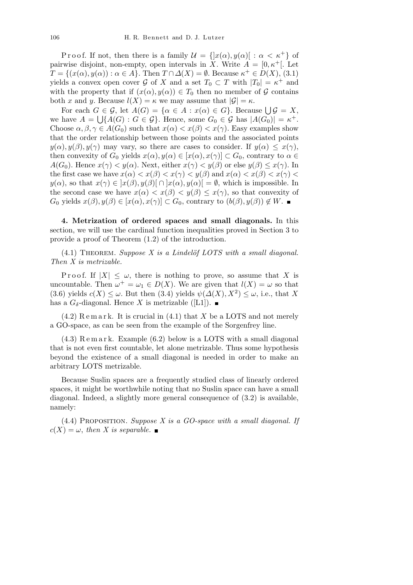Proof. If not, then there is a family  $\mathcal{U} = \{ |x(\alpha), y(\alpha)| : \alpha < \kappa^+ \}$  of pairwise disjoint, non-empty, open intervals in *X*. Write  $A = \begin{bmatrix} 0, \kappa^+ \end{bmatrix}$ . Let  $T = \{(x(\alpha), y(\alpha)) : \alpha \in A\}$ . Then  $T \cap \Delta(X) = \emptyset$ . Because  $\kappa^+ \in D(X)$ , (3.1) yields a convex open cover  $G$  of  $X$  and a set  $T_0 \subset T$  with  $|T_0| = \kappa^+$  and with the property that if  $(x(\alpha), y(\alpha)) \in T_0$  then no member of  $\mathcal G$  contains both *x* and *y*. Because  $l(X) = \kappa$  we may assume that  $|\mathcal{G}| = \kappa$ .

For each  $G \in \mathcal{G}$ , let  $A(G) = \{ \alpha \in A : x(\alpha) \in G \}$ . Because  $\bigcup \mathcal{G} = X$ , we have  $A = \bigcup \{A(G) : G \in \mathcal{G}\}\$ . Hence, some  $G_0 \in \mathcal{G}$  has  $|A(G_0)| = \kappa^+$ . Choose  $\alpha, \beta, \gamma \in A(G_0)$  such that  $x(\alpha) < x(\beta) < x(\gamma)$ . Easy examples show that the order relationship between those points and the associated points  $y(\alpha), y(\beta), y(\gamma)$  may vary, so there are cases to consider. If  $y(\alpha) \leq x(\gamma)$ , then convexity of  $G_0$  yields  $x(\alpha), y(\alpha) \in [x(\alpha), x(\gamma)] \subset G_0$ , contrary to  $\alpha \in$ *A*(*G*<sub>0</sub>). Hence  $x(\gamma) < y(\alpha)$ . Next, either  $x(\gamma) < y(\beta)$  or else  $y(\beta) \le x(\gamma)$ . In the first case we have  $x(\alpha) < x(\beta) < x(\gamma) < y(\beta)$  and  $x(\alpha) < x(\beta) < x(\gamma) <$ *y*( $\alpha$ ), so that  $x(\gamma) \in [x(\beta), y(\beta)] \cap [x(\alpha), y(\alpha)] = \emptyset$ , which is impossible. In the second case we have  $x(\alpha) < x(\beta) < y(\beta) \leq x(\gamma)$ , so that convexity of *G*<sub>0</sub> yields  $x(\beta), y(\beta) \in [x(\alpha), x(\gamma)] \subset G_0$ , contrary to  $(b(\beta), y(\beta)) \notin W$ .

**4. Metrization of ordered spaces and small diagonals.** In this section, we will use the cardinal function inequalities proved in Section 3 to provide a proof of Theorem (1.2) of the introduction.

 $(4.1)$  THEOREM. *Suppose X is a Lindelöf LOTS with a small diagonal. Then X is metrizable.*

Proof. If  $|X| \leq \omega$ , there is nothing to prove, so assume that X is uncountable. Then  $\omega^+ = \omega_1 \in D(X)$ . We are given that  $l(X) = \omega$  so that  $(3.6)$  yields  $c(X) \leq \omega$ . But then  $(3.4)$  yields  $\psi(\Delta(X), X^2) \leq \omega$ , i.e., that X has a  $G_{\delta}$ -diagonal. Hence *X* is metrizable ([L1]).

 $(4.2)$  Remark. It is crucial in  $(4.1)$  that *X* be a LOTS and not merely a GO-space, as can be seen from the example of the Sorgenfrey line.

 $(4.3)$  Remark. Example  $(6.2)$  below is a LOTS with a small diagonal that is not even first countable, let alone metrizable. Thus some hypothesis beyond the existence of a small diagonal is needed in order to make an arbitrary LOTS metrizable.

Because Suslin spaces are a frequently studied class of linearly ordered spaces, it might be worthwhile noting that no Suslin space can have a small diagonal. Indeed, a slightly more general consequence of (3.2) is available, namely:

(4.4) Proposition. *Suppose X is a GO-space with a small diagonal. If*  $c(X) = \omega$ , *then* X *is separable*.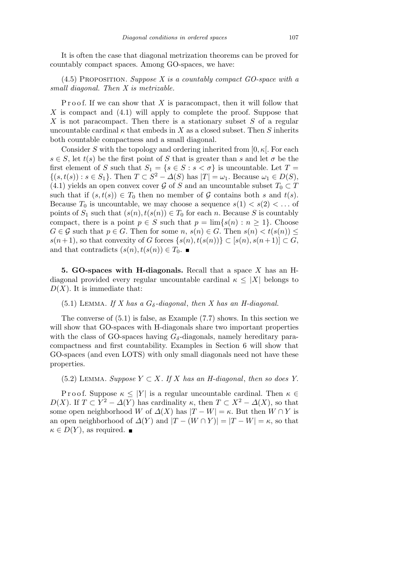It is often the case that diagonal metrization theorems can be proved for countably compact spaces. Among GO-spaces, we have:

(4.5) Proposition. *Suppose X is a countably compact GO-space with a small diagonal. Then X is metrizable.*

Proof. If we can show that X is paracompact, then it will follow that *X* is compact and (4.1) will apply to complete the proof. Suppose that *X* is not paracompact. Then there is a stationary subset *S* of a regular uncountable cardinal  $\kappa$  that embeds in *X* as a closed subset. Then *S* inherits both countable compactness and a small diagonal.

Consider *S* with the topology and ordering inherited from [0*, κ*[. For each  $s \in S$ , let  $t(s)$  be the first point of *S* that is greater than *s* and let  $\sigma$  be the first element of *S* such that  $S_1 = \{s \in S : s < \sigma\}$  is uncountable. Let  $T =$  $\{(s,t(s)): s \in S_1\}$ . Then  $T \subset S^2 - \Delta(S)$  has  $|T| = \omega_1$ . Because  $\omega_1 \in D(S)$ , (4.1) yields an open convex cover  $\mathcal{G}$  of *S* and an uncountable subset  $T_0 \subset T$ such that if  $(s, t(s)) \in T_0$  then no member of  $\mathcal G$  contains both *s* and  $t(s)$ . Because  $T_0$  is uncountable, we may choose a sequence  $s(1) < s(2) < \ldots$  of points of  $S_1$  such that  $(s(n), t(s(n)) \in T_0$  for each *n*. Because *S* is countably compact, there is a point  $p \in S$  such that  $p = \lim\{s(n) : n \geq 1\}$ . Choose  $G \in \mathcal{G}$  such that  $p \in G$ . Then for some  $n, s(n) \in G$ . Then  $s(n) < t(s(n)) \leq$  $s(n+1)$ , so that convexity of *G* forces  $\{s(n), t(s(n))\} \subset [s(n), s(n+1)] \subset G$ , and that contradicts  $(s(n), t(s(n)) \in T_0$ .

**5. GO-spaces with H-diagonals.** Recall that a space *X* has an Hdiagonal provided every regular uncountable cardinal  $\kappa \leq |X|$  belongs to  $D(X)$ . It is immediate that:

## $(5.1)$  LEMMA. *If X has a G<sub>δ</sub>*-diagonal, then X has an H-diagonal.

The converse of (5.1) is false, as Example (7.7) shows. In this section we will show that GO-spaces with H-diagonals share two important properties with the class of GO-spaces having  $G_{\delta}$ -diagonals, namely hereditary paracompactness and first countability. Examples in Section 6 will show that GO-spaces (and even LOTS) with only small diagonals need not have these properties.

(5.2) LEMMA. *Suppose*  $Y \subset X$ *. If*  $X$  *has an H-diagonal, then so does Y.* 

Proof. Suppose  $\kappa \leq |Y|$  is a regular uncountable cardinal. Then  $\kappa \in$ *D*(*X*). If  $T \subset Y^2 - \Delta(Y)$  has cardinality  $\kappa$ , then  $T \subset X^2 - \Delta(X)$ , so that some open neighborhood *W* of  $\Delta(X)$  has  $|T - W| = \kappa$ . But then  $W \cap Y$  is an open neighborhood of  $\Delta(Y)$  and  $|T - (W \cap Y)| = |T - W| = \kappa$ , so that  $\kappa \in D(Y)$ , as required.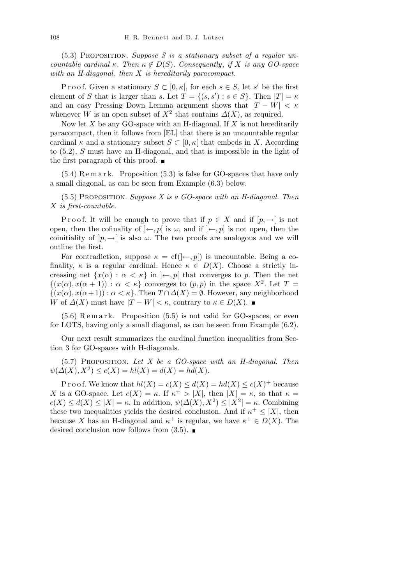(5.3) Proposition. *Suppose S is a stationary subset of a regular uncountable cardinal κ. Then*  $κ \notin D(S)$ *. Consequently, if X is any GO-space with an H-diagonal*, *then X is hereditarily paracompact.*

Proof. Given a stationary  $S \subset [0, \kappa]$ , for each  $s \in S$ , let  $s'$  be the first element of *S* that is larger than *s*. Let  $T = \{(s, s') : s \in S\}$ . Then  $|T| = \kappa$ and an easy Pressing Down Lemma argument shows that  $|T - W| < \kappa$ whenever *W* is an open subset of  $X^2$  that contains  $\Delta(X)$ , as required.

Now let *X* be any GO-space with an H-diagonal. If *X* is not hereditarily paracompact, then it follows from [EL] that there is an uncountable regular cardinal  $\kappa$  and a stationary subset  $S \subset [0, \kappa]$  that embeds in X. According to (5.2), *S* must have an H-diagonal, and that is impossible in the light of the first paragraph of this proof.  $\blacksquare$ 

 $(5.4)$  R e m a r k. Proposition  $(5.3)$  is false for GO-spaces that have only a small diagonal, as can be seen from Example (6.3) below.

(5.5) Proposition. *Suppose X is a GO-space with an H-diagonal. Then X is first-countable.*

Proof. It will be enough to prove that if  $p \in X$  and if  $[p, \rightarrow]$  is not open, then the cofinality of  $\vert \leftarrow$ , p is  $\omega$ , and if  $\vert \leftarrow$ , p is not open, then the coinitiality of  $]p, \rightarrow [$  is also  $\omega$ . The two proofs are analogous and we will outline the first.

For contradiction, suppose  $\kappa = cf(|\leftarrow, p|)$  is uncountable. Being a cofinality,  $\kappa$  is a regular cardinal. Hence  $\kappa \in D(X)$ . Choose a strictly increasing net  $\{x(\alpha) : \alpha < \kappa\}$  in  $\}$ *–, p* that converges to *p*. Then the net  $\{(x(\alpha), x(\alpha+1)) : \alpha < \kappa\}$  converges to  $(p, p)$  in the space  $X^2$ . Let  $T =$  $\{(x(\alpha), x(\alpha+1)) : \alpha < \kappa\}$ . Then  $T \cap \Delta(X) = \emptyset$ . However, any neighborhood *W* of  $\Delta(X)$  must have  $|T - W| < \kappa$ , contrary to  $\kappa \in D(X)$ . ■

 $(5.6)$  Remark. Proposition  $(5.5)$  is not valid for GO-spaces, or even for LOTS, having only a small diagonal, as can be seen from Example (6.2).

Our next result summarizes the cardinal function inequalities from Section 3 for GO-spaces with H-diagonals.

(5.7) Proposition. *Let X be a GO-space with an H-diagonal. Then*  $\psi(\Delta(X), X^2) \le c(X) = hl(X) = d(X) = hd(X).$ 

P r o o f. We know that  $hl(X) = c(X) \le d(X) = hd(X) \le c(X)^+$  because *X* is a GO-space. Let  $c(X) = \kappa$ . If  $\kappa^+ > |X|$ , then  $|X| = \kappa$ , so that  $\kappa =$  $c(X) \le d(X) \le |X| = \kappa$ . In addition,  $\psi(\Delta(X), X^2) \le |X^2| = \kappa$ . Combining these two inequalities yields the desired conclusion. And if  $\kappa^+ \leq |X|$ , then because *X* has an H-diagonal and  $\kappa^+$  is regular, we have  $\kappa^+ \in D(X)$ . The desired conclusion now follows from  $(3.5)$ .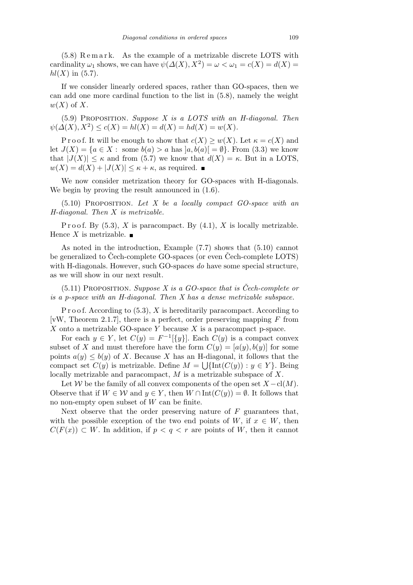(5.8) R e m a r k. As the example of a metrizable discrete LOTS with cardinality  $\omega_1$  shows, we can have  $\psi(\Delta(X), X^2) = \omega < \omega_1 = c(X) = d(X)$  $hl(X)$  in (5.7).

If we consider linearly ordered spaces, rather than GO-spaces, then we can add one more cardinal function to the list in (5.8), namely the weight *w*(*X*) of *X*.

(5.9) Proposition. *Suppose X is a LOTS with an H-diagonal. Then*  $\psi(\Delta(X), X^2) \le c(X) = hl(X) = d(X) = hd(X) = w(X).$ 

P r o o f. It will be enough to show that  $c(X) \geq w(X)$ . Let  $\kappa = c(X)$  and let  $J(X) = \{a \in X : \text{ some } b(a) > a \text{ has } |a, b(a)| = \emptyset\}$ . From (3.3) we know that  $|J(X)| \leq \kappa$  and from (5.7) we know that  $d(X) = \kappa$ . But in a LOTS,  $w(X) = d(X) + |J(X)| \leq \kappa + \kappa$ , as required.

We now consider metrization theory for GO-spaces with H-diagonals. We begin by proving the result announced in  $(1.6)$ .

(5.10) Proposition. *Let X be a locally compact GO-space with an H-diagonal. Then X is metrizable.*

P r o o f. By  $(5.3)$ , *X* is paracompact. By  $(4.1)$ , *X* is locally metrizable. Hence *X* is metrizable.  $\blacksquare$ 

As noted in the introduction, Example (7.7) shows that (5.10) cannot be generalized to Cech-complete GO-spaces (or even Cech-complete LOTS) with H-diagonals. However, such GO-spaces *do* have some special structure, as we will show in our next result.

 $(5.11)$  PROPOSITION. *Suppose X is a GO-space that is Cech-complete or is a p-space with an H-diagonal. Then X has a dense metrizable subspace.*

P r o o f. According to (5.3), *X* is hereditarily paracompact. According to [vW, Theorem 2.1.7], there is a perfect, order preserving mapping *F* from *X* onto a metrizable GO-space *Y* because *X* is a paracompact p-space.

For each  $y \in Y$ , let  $C(y) = F^{-1}(\{y\})$ . Each  $C(y)$  is a compact convex subset of *X* and must therefore have the form  $C(y) = [a(y), b(y)]$  for some points  $a(y) \leq b(y)$  of *X*. Because *X* has an H-diagonal, it follows that the compact set  $C(y)$  is metrizable. Define  $M = \bigcup \{ \text{Int}(C(y)) : y \in Y \}$ . Being locally metrizable and paracompact, *M* is a metrizable subspace of *X*.

Let *W* be the family of all convex components of the open set  $X - \text{cl}(M)$ . Observe that if  $W \in \mathcal{W}$  and  $y \in Y$ , then  $W \cap \text{Int}(C(y)) = \emptyset$ . It follows that no non-empty open subset of *W* can be finite.

Next observe that the order preserving nature of *F* guarantees that, with the possible exception of the two end points of  $W$ , if  $x \in W$ , then  $C(F(x)) \subset W$ . In addition, if  $p < q < r$  are points of *W*, then it cannot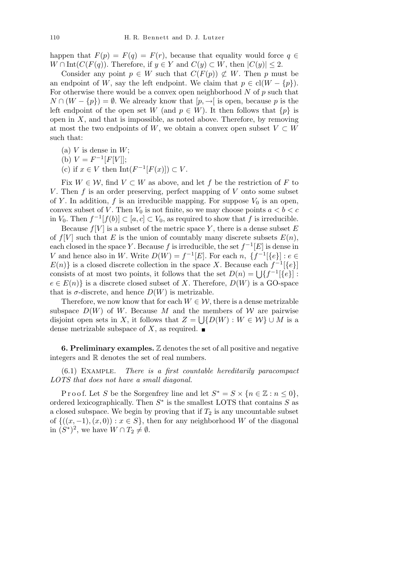happen that  $F(p) = F(q) = F(r)$ , because that equality would force  $q \in$ *W* ∩ Int( $C(F(q))$ . Therefore, if *y* ∈ *Y* and  $C(y)$  ⊂ *W*, then  $|C(y)|$  ≤ 2.

Consider any point  $p \in W$  such that  $C(F(p)) \not\subset W$ . Then *p* must be an endpoint of *W*, say the left endpoint. We claim that  $p \in \text{cl}(W - \{p\})$ . For otherwise there would be a convex open neighborhood *N* of *p* such that *N* ∩ (*W* − {*p*}) =  $\emptyset$ . We already know that  $[p, \rightarrow]$  is open, because *p* is the left endpoint of the open set *W* (and  $p \in W$ ). It then follows that  $\{p\}$  is open in  $X$ , and that is impossible, as noted above. Therefore, by removing at most the two endpoints of *W*, we obtain a convex open subset  $V \subset W$ such that:

- (a)  $V$  is dense in  $W$ ;
- (b)  $V = F^{-1}[F[V]]$ ;
- (c) if  $x \in V$  then  $Int(F^{-1}[F(x)]) \subset V$ .

Fix  $W \in \mathcal{W}$ , find  $V \subset W$  as above, and let f be the restriction of F to *V*. Then *f* is an order preserving, perfect mapping of *V* onto some subset of *Y*. In addition, *f* is an irreducible mapping. For suppose  $V_0$  is an open, convex subset of *V*. Then  $V_0$  is not finite, so we may choose points  $a < b < c$ in *V*<sub>0</sub>. Then  $f^{-1}[f(b)] \subset [a, c] \subset V_0$ , as required to show that *f* is irreducible.

Because  $f[V]$  is a subset of the metric space  $Y$ , there is a dense subset  $E$ of  $f[V]$  such that E is the union of countably many discrete subsets  $E(n)$ , each closed in the space *Y*. Because *f* is irreducible, the set  $f^{-1}[E]$  is dense in *V* and hence also in *W*. Write  $D(W) = f^{-1}[E]$ . For each *n*,  $\{f^{-1}[\{e\}] : e \in E\}$  $E(n)$ } is a closed discrete collection in the space *X*. Because each  $f^{-1}$ [ $\{e\}$ ]  $L(n)$  is a closed discrete conection in the space  $\Lambda$ . Because each  $j^{-1}[\{e\}]$  is consists of at most two points, it follows that the set  $D(n) = \bigcup \{f^{-1}[\{e\}] :$  $e \in E(n)$ } is a discrete closed subset of *X*. Therefore,  $D(W)$  is a GO-space that is  $\sigma$ -discrete, and hence  $D(W)$  is metrizable.

Therefore, we now know that for each  $W \in \mathcal{W}$ , there is a dense metrizable subspace  $D(W)$  of *W*. Because *M* and the members of *W* are pairwise disjoint open sets in *X*, it follows that  $Z = \bigcup \{ D(W) : W \in \mathcal{W} \} \cup M$  is a dense metrizable subspace of X, as required.  $\blacksquare$ 

**6. Preliminary examples.** Z denotes the set of all positive and negative integers and R denotes the set of real numbers.

(6.1) Example. *There is a first countable hereditarily paracompact LOTS that does not have a small diagonal.*

Proof. Let *S* be the Sorgenfrey line and let  $S^* = S \times \{n \in \mathbb{Z} : n \leq 0\},\$ ordered lexicographically. Then *S ∗* is the smallest LOTS that contains *S* as a closed subspace. We begin by proving that if  $T_2$  is any uncountable subset of  $\{(x, -1), (x, 0)) : x \in S\}$ , then for any neighborhood *W* of the diagonal in  $(S^*)^2$ , we have  $W \cap T_2 \neq \emptyset$ .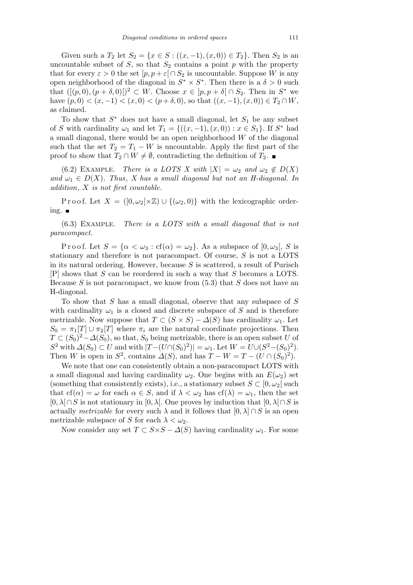Given such a  $T_2$  let  $S_2 = \{x \in S : ((x, -1), (x, 0)) \in T_2\}$ . Then  $S_2$  is an uncountable subset of  $S$ , so that  $S_2$  contains a point  $p$  with the property that for every  $\varepsilon > 0$  the set  $[p, p + \varepsilon] \cap S_2$  is uncountable. Suppose *W* is any open neighborhood of the diagonal in  $S^* \times S^*$ . Then there is a  $\delta > 0$  such that  $([(p, 0), (p + \delta, 0)])^2$  ⊂ *W*. Choose  $x \in ]p, p + \delta[ \cap S_2]$ . Then in  $S^*$  we have  $(p, 0) < (x, -1) < (x, 0) < (p + \delta, 0)$ , so that  $((x, -1), (x, 0)) \in T_2 ∩ W$ , as claimed.

To show that *S <sup>∗</sup>* does not have a small diagonal, let *S*<sup>1</sup> be any subset of *S* with cardinality  $\omega_1$  and let  $T_1 = \{((x, -1), (x, 0)) : x \in S_1\}$ . If  $S^*$  had a small diagonal, there would be an open neighborhood *W* of the diagonal such that the set  $T_2 = T_1 - W$  is uncountable. Apply the first part of the proof to show that  $T_2 \cap W \neq \emptyset$ , contradicting the definition of  $T_2$ . ■

(6.2) EXAMPLE. *There is a LOTS X with*  $|X| = \omega_2$  *and*  $\omega_2 \notin D(X)$ and  $\omega_1 \in D(X)$ . Thus, *X* has a small diagonal but not an *H*-diagonal. In *addition*, *X is not first countable.*

P r o o f. Let  $X = ([0, \omega_2[\times \mathbb{Z}) \cup \{(\omega_2, 0)\}]$  with the lexicographic ordering.

(6.3) Example. *There is a LOTS with a small diagonal that is not paracompact.*

Proof. Let  $S = {\alpha < \omega_3 : cf(\alpha) = \omega_2}$ . As a subspace of  $[0, \omega_3]$ , S is stationary and therefore is not paracompact. Of course, *S* is not a LOTS in its natural ordering. However, because *S* is scattered, a result of Purisch [P] shows that *S* can be reordered in such a way that *S* becomes a LOTS. Because *S* is not paracompact, we know from (5.3) that *S* does not have an H-diagonal.

To show that *S* has a small diagonal, observe that any subspace of *S* with cardinality  $\omega_1$  is a closed and discrete subspace of *S* and is therefore metrizable. Now suppose that  $T \subset (S \times S) - \Delta(S)$  has cardinality  $\omega_1$ . Let  $S_0 = \pi_1[T] \cup \pi_2[T]$  where  $\pi_i$  are the natural coordinate projections. Then  $T \subset (S_0)^2 - \Delta(S_0)$ , so that,  $S_0$  being metrizable, there is an open subset *U* of *S*<sup>2</sup> with  $\Delta(S_0) \subset U$  and with  $|T - (U \cap (S_0)^2)| = \omega_1$ . Let  $W = U \cup (S^2 - (S_0)^2)$ . Then *W* is open in  $S^2$ , contains  $\Delta(S)$ , and has  $T - W = T - (U \cap (S_0)^2)$ .

We note that one can consistently obtain a non-paracompact LOTS with a small diagonal and having cardinality  $\omega_2$ . One begins with an  $E(\omega_2)$  set (something that consistently exists), i.e., a stationary subset  $S \subset [0, \omega_2]$  such that  $cf(\alpha) = \omega$  for each  $\alpha \in S$ , and if  $\lambda < \omega_2$  has  $cf(\lambda) = \omega_1$ , then the set [0*, λ*[*∩S* is not stationary in [0*, λ*[. One proves by induction that [0*, λ*[*∩S* is actually *metrizable* for every such  $\lambda$  and it follows that  $[0, \lambda] \cap S$  is an open metrizable subspace of *S* for each  $\lambda < \omega_2$ .

Now consider any set  $T \subset S \times S - \Delta(S)$  having cardinality  $\omega_1$ . For some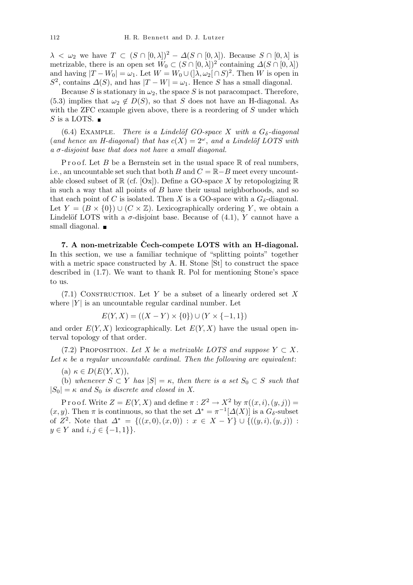$\lambda < \omega_2$  we have  $T \subset (S \cap [0, \lambda])^2 - \Delta(S \cap [0, \lambda])$ . Because  $S \cap [0, \lambda]$  is metrizable, there is an open set  $W_0 \subset (S \cap [0, \lambda])^2$  containing  $\Delta(S \cap [0, \lambda])$ and having  $|T - W_0| = \omega_1$ . Let  $W = W_0 \cup (\lambda, \omega_2 \cap S)^2$ . Then *W* is open in  $S^2$ , contains  $\Delta(S)$ , and has  $|T - W| = \omega_1$ . Hence *S* has a small diagonal.

Because *S* is stationary in  $\omega_2$ , the space *S* is not paracompact. Therefore, (5.3) implies that  $\omega_2 \notin D(S)$ , so that *S* does not have an H-diagonal. As with the ZFC example given above, there is a reordering of *S* under which *S* is a LOTS.  $\blacksquare$ 

 $(6.4)$  EXAMPLE. *There is a Lindelöf GO-space X with a*  $G_{\delta}$ *-diagonal* (*and hence an H-diagonal*) *that has*  $c(X) = 2^{\omega}$ , *and a Lindelöf LOTS with a σ-disjoint base that does not have a small diagonal.*

P r o o f. Let *B* be a Bernstein set in the usual space  $\mathbb R$  of real numbers, i.e., an uncountable set such that both *B* and  $C = \mathbb{R} - B$  meet every uncountable closed subset of  $\mathbb{R}$  (cf. [Ox]). Define a GO-space X by retopologizing  $\mathbb{R}$ in such a way that all points of *B* have their usual neighborhoods, and so that each point of *C* is isolated. Then *X* is a GO-space with a  $G_{\delta}$ -diagonal. Let  $Y = (B \times \{0\}) \cup (C \times \mathbb{Z})$ . Lexicographically ordering *Y*, we obtain a Lindelöf LOTS with a  $\sigma$ -disjoint base. Because of (4.1), *Y* cannot have a small diagonal.  $\blacksquare$ 

**7. A non-metrizable Cech-compete LOTS with an H-diagonal. ˇ** In this section, we use a familiar technique of "splitting points" together with a metric space constructed by A. H. Stone [St] to construct the space described in (1.7). We want to thank R. Pol for mentioning Stone's space to us.

(7.1) Construction. Let *Y* be a subset of a linearly ordered set *X* where  $|Y|$  is an uncountable regular cardinal number. Let

$$
E(Y, X) = ((X - Y) \times \{0\}) \cup (Y \times \{-1, 1\})
$$

and order  $E(Y, X)$  lexicographically. Let  $E(Y, X)$  have the usual open interval topology of that order.

(7.2) PROPOSITION. Let X be a metrizable LOTS and suppose  $Y \subset X$ . Let  $\kappa$  be a regular uncountable cardinal. Then the following are equivalent:

 $(\mathrm{a}) \kappa \in D(E(Y, X)),$ 

(b) whenever  $S \subset Y$  has  $|S| = \kappa$ , then there is a set  $S_0 \subset S$  such that  $|S_0| = \kappa$  *and*  $S_0$  *is discrete and closed in X.* 

P r o o f. Write  $Z = E(Y, X)$  and define  $\pi : Z^2 \to X^2$  by  $\pi((x, i), (y, j)) =$  $(x, y)$ . Then  $\pi$  is continuous, so that the set  $\Delta^* = \pi^{-1}[\Delta(X)]$  is a  $G_{\delta}$ -subset of  $Z^2$ . Note that  $\Delta^* = \{((x, 0), (x, 0)) : x \in X - Y\} \cup \{((y, i), (y, j)) : x \in X - Y\}$ *y* ∈ *Y* and *i, j* ∈ {-1*,* 1}}.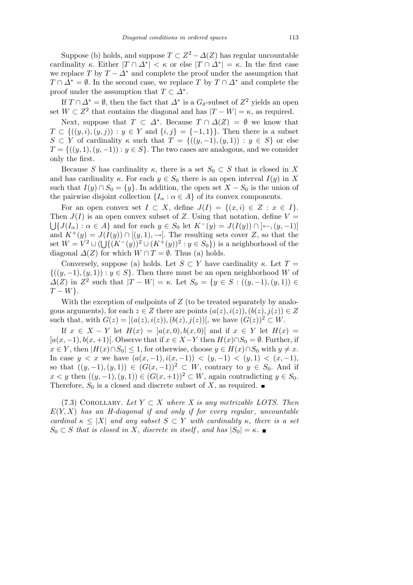Suppose (b) holds, and suppose  $T \subset Z^2 - \Delta(Z)$  has regular uncountable cardinality *κ*. Either  $|T \cap \Delta^*| < \kappa$  or else  $|T \cap \Delta^*| = \kappa$ . In the first case we replace *T* by  $T - \Delta^*$  and complete the proof under the assumption that  $T \cap \Delta^* = \emptyset$ . In the second case, we replace *T* by  $T \cap \Delta^*$  and complete the proof under the assumption that  $T \subset \Delta^*$ .

If  $T \cap \Delta^* = \emptyset$ , then the fact that  $\Delta^*$  is a  $G_{\delta}$ -subset of  $Z^2$  yields an open set  $W \subset Z^2$  that contains the diagonal and has  $|T - W| = \kappa$ , as required.

Next, suppose that  $T \subset \Delta^*$ . Because  $T \cap \Delta(Z) = \emptyset$  we know that *T* ⊂ { $((y, i), (y, j))$  : *y* ∈ *Y* and {*i, j*} = {−1*,* 1}}. Then there is a subset *S*  $\subset$  *Y* of cardinality *κ* such that  $T = \{((y, -1), (y, 1)) : y \in S\}$  or else  $T = \{((y, 1), (y, -1)) : y \in S\}$ . The two cases are analogous, and we consider only the first.

Because *S* has cardinality  $\kappa$ , there is a set  $S_0 \subset S$  that is closed in X and has cardinality  $\kappa$ . For each  $y \in S_0$  there is an open interval  $I(y)$  in X such that  $I(y) \cap S_0 = \{y\}$ . In addition, the open set  $X - S_0$  is the union of the pairwise disjoint collection  ${I_\alpha : \alpha \in A}$  of its convex components.

For an open convex set  $I \subset X$ , define  $J(I) = \{(x,i) \in Z : x \in I\}$ . Then  $J(I)$  is an open convex subset of *Z*. Using that notation, define  $V =$ *{J*(*I*<sub>*α*</sub>) : *α*  $\in$  *A*} and for each *y*  $\in$  *S*<sub>0</sub> let  $K^{-}(y) = J(I(y)) \cap$   $\in$   $\in$  *(y, -*1)] and  $K^+(y) = J(I(y)) \cap [(y, 1), \rightarrow]$ . The resulting sets cover *Z*, so that the set  $W = V^2$  ∪ ( $\bigcup \{(K^-(y))^2 \cup (K^+(y))^2 : y \in S_0\}$ ) is a neighborhood of the diagonal  $\Delta(Z)$  for which  $W \cap T = \emptyset$ . Thus (a) holds.

Conversely, suppose (a) holds. Let  $S \subset Y$  have cardinality  $\kappa$ . Let  $T =$ *{*((*y, −*1)*,*(*y,* 1)) : *y ∈ S}*. Then there must be an open neighborhood *W* of  $\Delta(Z)$  in  $Z^2$  such that  $|T - W| = \kappa$ . Let  $S_0 = \{y \in S : ((y, -1), (y, 1)) \in$ *T − W}*.

With the exception of endpoints of *Z* (to be treated separately by analogous arguments), for each  $z \in Z$  there are points  $(a(z), i(z)), (b(z), j(z)) \in Z$ such that, with  $G(z) = |(a(z), i(z)), (b(z), j(z))|$ , we have  $(G(z))^2 \subset W$ .

If  $x \in X - Y$  let  $H(x) = |a(x,0), b(x,0)|$  and if  $x \in Y$  let  $H(x) =$  $|a(x, -1), b(x, +1)|$ . Observe that if  $x \in X - Y$  then  $H(x) ∩ S_0 = ∅$ . Further, if  $x \in Y$ , then  $|H(x) \cap S_0| \leq 1$ , for otherwise, choose  $y \in H(x) \cap S_0$  with  $y \neq x$ . In case *y* < *x* we have  $(a(x, -1), i(x, -1))$  <  $(y, -1)$  <  $(y, 1)$  <  $(x, -1)$ , so that  $((y, -1), (y, 1)) \in (G(x, -1))^2 \subset W$ , contrary to  $y \in S_0$ . And if *x* < *y* then  $((y, -1), (y, 1)) \in (G(x, +1))^2 \subset W$ , again contradicting *y* ∈ *S*<sub>0</sub>. Therefore,  $S_0$  is a closed and discrete subset of X, as required.  $\blacksquare$ 

(7.3) COROLLARY. Let  $Y \subset X$  where X is any metrizable LOTS. Then  $E(Y, X)$  has an *H*-diagonal if and only if for every regular, uncountable *cardinal*  $\kappa \leq |X|$  *and any subset*  $S \subset Y$  *with cardinality*  $\kappa$ , *there is a set*  $S_0 \subset S$  *that is closed in X*, *discrete in itself*, *and has*  $|S_0| = \kappa$ .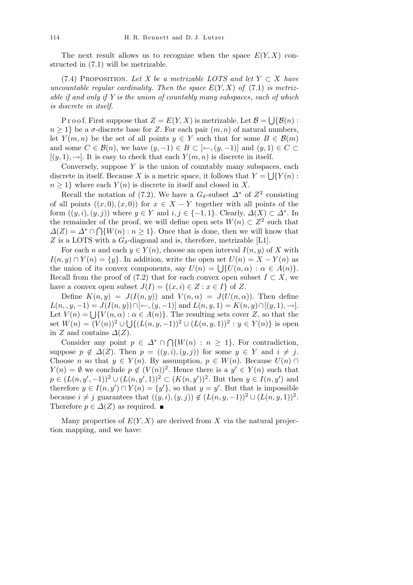The next result allows us to recognize when the space  $E(Y, X)$  constructed in (7.1) will be metrizable.

(7.4) PROPOSITION. Let X be a metrizable LOTS and let  $Y \subset X$  have *uncountable regular cardinality. Then the space*  $E(Y, X)$  of  $(7.1)$  *is metrizable if and only if Y is the union of countably many subspaces*, *each of which is discrete in itself.*

P r o o f. First suppose that  $Z = E(Y, X)$  is metrizable. Let  $\mathcal{B} =$ S *{B*(*n*) :  $n \geq 1$ } be a *σ*-discrete base for *Z*. For each pair  $(m, n)$  of natural numbers, let *Y*(*m, n*) be the set of all points  $y \in Y$  such that for some  $B \in \mathcal{B}(m)$ and some  $C \in \mathcal{B}(n)$ , we have  $(y, -1) \in B \subset \{-(y, -1) \}$  and  $(y, 1) \in C \subset$  $[(y, 1), \rightarrow]$ . It is easy to check that each  $Y(m, n)$  is discrete in itself.

Conversely, suppose  $Y$  is the union of countably many subspaces, each  $Y$ discrete in itself. Because *X* is a metric space, it follows that  $Y = \bigcup \{Y(n) :$  $n \geq 1$  where each  $Y(n)$  is discrete in itself and closed in X.

Recall the notation of (7.2). We have a  $G_{\delta}$ -subset  $\Delta^*$  of  $Z^2$  consisting of all points  $((x, 0), (x, 0))$  for  $x \in X - Y$  together with all points of the form  $((y, i), (y, j))$  where  $y \in Y$  and  $i, j \in \{-1, 1\}$ . Clearly,  $\Delta(X) \subset \Delta^*$ . In the remainder of the proof, we will define open sets  $W(n) \subset Z^2$  such that  $\Delta(Z) = \Delta^* \cap \bigcap \{W(n) : n \geq 1\}$ . Once that is done, then we will know that *Z* is a LOTS with a  $G_{\delta}$ -diagonal and is, therefore, metrizable [L1].

For each *n* and each  $y \in Y(n)$ , choose an open interval  $I(n, y)$  of X with *I*(*n, y*) ∩ *Y*(*n*) = {*y*}. In addition, write the open set  $U(n) = X - Y(n)$  as  $U(n, y) \cap Y(n) = \{y\}$ . In addition, write the open set  $U(n) = X - Y(n)$  as<br>the union of its convex components, say  $U(n) = \bigcup \{U(n, \alpha) : \alpha \in A(n)\}\.$ Recall from the proof of (7.2) that for each convex open subset  $I \subset X$ , we have a convex open subset  $J(I) = \{(x, i) \in Z : x \in I\}$  of Z.

Define  $K(n, y) = J(I(n, y))$  and  $V(n, \alpha) = J(U(n, \alpha))$ . Then define *L*(*n*, *y*, −1) = *J*(*I*(*n*, *y*))∩]←, (*y*, −1)] and *L*(*n*, *y*, 1) = *K*(*n*, *y*)∩[(*y*, 1), →[. Let  $V(n) = \bigcup \{V(n, \alpha) : \alpha \in A(n)\}$ . The resulting sets cover *Z*, so that the set  $W(n) = (V(n))^2 \cup \left(\frac{\{(L(n, y, -1))^2}{\cup (L(n, y, 1))^2} : y \in Y(n)\right\}$  is open in *Z* and contains  $\Delta(Z)$ .

 $\sum_{i=1}^{n} C_i$  *C*onsider any point  $p \in \Delta^* \cap \bigcap$  $\{W(n) : n \geq 1\}$ . For contradiction, suppose  $p \notin \Delta(Z)$ . Then  $p = ((y, i), (y, j))$  for some  $y \in Y$  and  $i \neq j$ . Choose *n* so that  $y \in Y(n)$ . By assumption,  $p \in W(n)$ . Because  $U(n) \cap Y(n)$ *Y*(*n*) = *Ø* we conclude *p*  $\notin (V(n))^2$ . Hence there is a *y*' ∈ *Y*(*n*) such that  $p \in (L(n, y', -1))^2 \cup (L(n, y', 1))^2 \subset (K(n, y'))^2$ . But then  $y \in I(n, y')$  and therefore  $y \in I(n, y') \cap Y(n) = \{y'\}$ , so that  $y = y'$ . But that is impossible because  $i \neq j$  guarantees that  $((y, i), (y, j)) \notin (L(n, y, -1))^2 \cup (L(n, y, 1))^2$ . Therefore  $p \in \Delta(Z)$  as required.  $\blacksquare$ 

Many properties of  $E(Y, X)$  are derived from X via the natural projection mapping, and we have: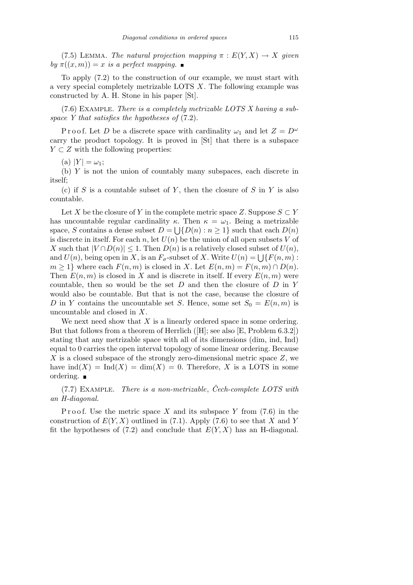(7.5) LEMMA. *The natural projection mapping*  $\pi : E(Y, X) \rightarrow X$  *given*  $by \pi((x, m)) = x$  *is a perfect mapping.* 

To apply (7.2) to the construction of our example, we must start with a very special completely metrizable LOTS *X*. The following example was constructed by A. H. Stone in his paper [St].

(7.6) Example. *There is a completely metrizable LOTS X having a subspace Y that satisfies the hypotheses of* (7.2).

Proof. Let *D* be a discrete space with cardinality  $\omega_1$  and let  $Z = D^{\omega}$ carry the product topology. It is proved in [St] that there is a subspace *Y* ⊂ *Z* with the following properties:

 $(A)$   $|Y| = \omega_1;$ 

(b) *Y* is not the union of countably many subspaces, each discrete in itself;

(c) if *S* is a countable subset of *Y* , then the closure of *S* in *Y* is also countable.

Let *X* be the closure of *Y* in the complete metric space *Z*. Suppose  $S \subset Y$ has uncountable regular cardinality  $\kappa$ . Then  $\kappa = \omega_1$ . Being a metrizable space, *S* contains a dense subset  $D = \bigcup \{D(n) : n \geq 1\}$  such that each  $D(n)$ is discrete in itself. For each *n*, let  $U(n)$  be the union of all open subsets V of *X* such that  $|V \cap D(n)| \leq 1$ . Then  $D(n)$  is a relatively closed subset of  $U(n)$ , A such that  $|V| |D(n)| \leq 1$ . Then  $D(n)$  is a relatively closed subset of  $U(n)$ , and  $U(n)$ , being open in X, is an  $F_{\sigma}$ -subset of X. Write  $U(n) = \bigcup \{F(n,m):$  $m \geq 1$ } where each  $F(n, m)$  is closed in *X*. Let  $E(n, m) = F(n, m) \cap D(n)$ . Then  $E(n, m)$  is closed in *X* and is discrete in itself. If every  $E(n, m)$  were countable, then so would be the set *D* and then the closure of *D* in *Y* would also be countable. But that is not the case, because the closure of *D* in *Y* contains the uncountable set *S*. Hence, some set  $S_0 = E(n, m)$  is uncountable and closed in *X*.

We next need show that *X* is a linearly ordered space in some ordering. But that follows from a theorem of Herrlich ([H]; see also [E, Problem 6.3.2]) stating that any metrizable space with all of its dimensions (dim, ind, Ind) equal to 0 carries the open interval topology of some linear ordering. Because *X* is a closed subspace of the strongly zero-dimensional metric space *Z*, we have  $\text{ind}(X) = \text{Ind}(X) = \dim(X) = 0$ . Therefore, X is a LOTS in some ordering.

(7.7) Example. *There is a non-metrizable*, *Cech-complete LOTS with ˇ an H-diagonal.*

Proof. Use the metric space  $X$  and its subspace  $Y$  from  $(7.6)$  in the construction of  $E(Y, X)$  outlined in (7.1). Apply (7.6) to see that *X* and *Y* fit the hypotheses of  $(7.2)$  and conclude that  $E(Y, X)$  has an H-diagonal.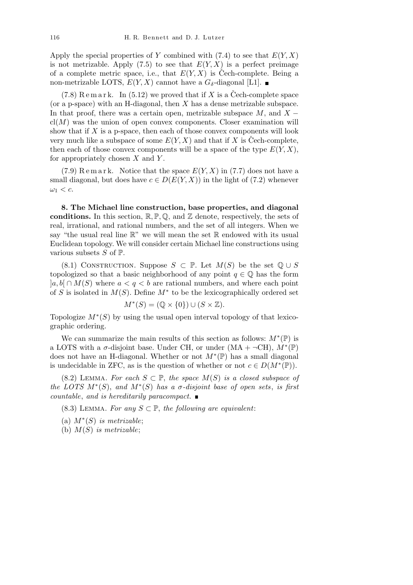Apply the special properties of *Y* combined with  $(7.4)$  to see that  $E(Y, X)$ is not metrizable. Apply  $(7.5)$  to see that  $E(Y, X)$  is a perfect preimage of a complete metric space, i.e., that  $E(Y, X)$  is Cech-complete. Being a non-metrizable LOTS,  $E(Y, X)$  cannot have a  $G_{\delta}$ -diagonal [L1].

 $(7.8)$  R e m a r k. In  $(5.12)$  we proved that if X is a Cech-complete space (or a p-space) with an H-diagonal, then *X* has a dense metrizable subspace. In that proof, there was a certain open, metrizable subspace *M*, and *X −*  $cl(M)$  was the union of open convex components. Closer examination will show that if *X* is a p-space, then each of those convex components will look very much like a subspace of some  $E(Y, X)$  and that if X is Cech-complete, then each of those convex components will be a space of the type  $E(Y, X)$ , for appropriately chosen *X* and *Y* .

 $(7.9)$  R e m a r k. Notice that the space  $E(Y, X)$  in  $(7.7)$  does not have a small diagonal, but does have  $c \in D(E(Y, X))$  in the light of (7.2) whenever  $\omega_1 < c$ .

**8. The Michael line construction, base properties, and diagonal conditions.** In this section,  $\mathbb{R}, \mathbb{P}, \mathbb{Q}$ , and  $\mathbb{Z}$  denote, respectively, the sets of real, irrational, and rational numbers, and the set of all integers. When we say "the usual real line  $\mathbb{R}$ " we will mean the set  $\mathbb R$  endowed with its usual Euclidean topology. We will consider certain Michael line constructions using various subsets *S* of P.

(8.1) CONSTRUCTION. Suppose  $S \subset \mathbb{P}$ . Let  $M(S)$  be the set  $\mathbb{Q} \cup S$ topologized so that a basic neighborhood of any point  $q \in \mathbb{Q}$  has the form  $|a, b| ∩ M(S)$  where  $a < q < b$  are rational numbers, and where each point of *S* is isolated in *M*(*S*). Define *M<sup>∗</sup>* to be the lexicographically ordered set

$$
M^*(S) = (\mathbb{Q} \times \{0\}) \cup (S \times \mathbb{Z}).
$$

Topologize *M<sup>∗</sup>* (*S*) by using the usual open interval topology of that lexicographic ordering.

We can summarize the main results of this section as follows:  $M^*(\mathbb{P})$  is a LOTS with a  $\sigma$ -disjoint base. Under CH, or under  $(MA + \neg CH), M^*(\mathbb{P})$ does not have an H-diagonal. Whether or not *M<sup>∗</sup>* (P) has a small diagonal is undecidable in ZFC, as is the question of whether or not  $c \in D(M^*(\mathbb{P}))$ .

(8.2) LEMMA. For each  $S \subset \mathbb{P}$ , the space  $M(S)$  is a closed subspace of *the LOTS*  $M^*(S)$ , and  $M^*(S)$  has a  $\sigma$ -disjoint base of open sets, is first *countable*, *and is hereditarily paracompact.*

- (8.3) LEMMA. For any  $S \subset \mathbb{P}$ , the following are equivalent:
- (a)  $M^*(S)$  *is metrizable*;
- (b) *M*(*S*) *is metrizable*;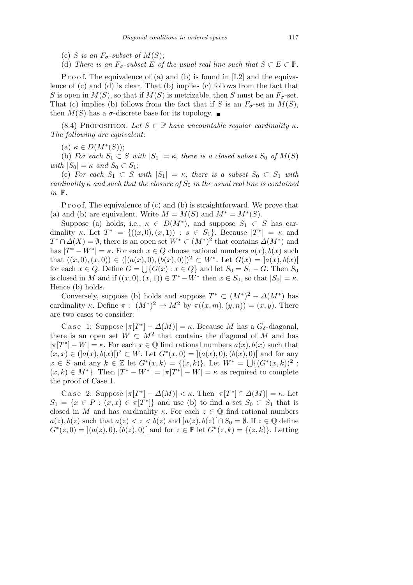- (c) *S* is an  $F_{\sigma}$ -subset of  $M(S)$ ;
- (d) *There is an*  $F_{\sigma}$ -subset  $E$  of the usual real line such that  $S \subset E \subset \mathbb{P}$ .

P r o o f. The equivalence of (a) and (b) is found in  $[L2]$  and the equivalence of (c) and (d) is clear. That (b) implies (c) follows from the fact that *S* is open in  $M(S)$ , so that if  $M(S)$  is metrizable, then *S* must be an  $F_{\sigma}$ -set. That (c) implies (b) follows from the fact that if *S* is an  $F_{\sigma}$ -set in  $M(S)$ , then  $M(S)$  has a  $\sigma$ -discrete base for its topology.

(8.4) PROPOSITION. Let  $S \subset \mathbb{P}$  *have uncountable regular cardinality*  $\kappa$ *. The following are equivalent*:

(a)  $\kappa \in D(M^*(S));$ 

(b) *For each*  $S_1 \subset S$  *with*  $|S_1| = \kappa$ , *there is a closed subset*  $S_0$  *of*  $M(S)$  $with |S_0| = \kappa$  *and*  $S_0 \subset S_1$ ;

(c) *For each*  $S_1$  ⊂ *S with*  $|S_1| = \kappa$ , *there is a subset*  $S_0$  ⊂  $S_1$  *with cardinality*  $\kappa$  *and such that the closure of*  $S_0$  *in the usual real line is contained in* P*.*

P r o o f. The equivalence of  $(c)$  and  $(b)$  is straightforward. We prove that (a) and (b) are equivalent. Write  $M = M(S)$  and  $M^* = M^*(S)$ .

Suppose (a) holds, i.e.,  $\kappa \in D(M^*)$ , and suppose  $S_1 \subset S$  has cardinality *κ*. Let  $T^* = \{((x, 0), (x, 1)) : s \in S_1\}$ . Because  $|T^*| = \kappa$  and  $T^* \cap \Delta(X) = \emptyset$ , there is an open set  $W^* \subset (M^*)^2$  that contains  $\Delta(M^*)$  and has  $|T^* - W^*| = \kappa$ . For each  $x \in Q$  choose rational numbers  $a(x), b(x)$  such that  $((x, 0), (x, 0)) \in (](a(x), 0), (b(x), 0)[)^2 \subset W^*$ . Let  $G(x) = [a(x), b(x)]$ for each  $x \in Q$ . Define  $G = \bigcup \{G(x) : x \in Q\}$  and let  $S_0 = S_1 - G$ . Then  $S_0$ is closed in *M* and if  $((x, 0), (x, 1)) \in T^* - W^*$  then  $x \in S_0$ , so that  $|S_0| = \kappa$ . Hence (b) holds.

Conversely, suppose (b) holds and suppose  $T^* \subset (M^*)^2 - \Delta(M^*)$  has cardinality *κ*. Define  $\pi$ :  $(M^*)^2 \to M^2$  by  $\pi((x,m),(y,n)) = (x,y)$ . There are two cases to consider:

Case 1: Suppose  $|\pi[T^*] - \Delta(M)| = \kappa$ . Because *M* has a  $G_{\delta}$ -diagonal, there is an open set  $W \subset M^2$  that contains the diagonal of M and has  $|\pi|T^*| - W| = \kappa$ . For each  $x \in \mathbb{Q}$  find rational numbers  $a(x)$ *, b*(*x*) such that  $(x, x) \in (a(x), b(x)[)^2 \subset W$ . Let  $G^*(x, 0) = [(a(x), 0), (b(x), 0)]$  and for any *x* ∈ *S* and any  $k \in \mathbb{Z}$  let  $G^*(x,k) = \{(x,k)\}\$ . Let  $W^* = \bigcup \{(G^*(x,k))^2 :$  $(x, k) \in M^*$ . Then  $|T^* - W^*| = |\pi|T^*| - |W| = \kappa$  as required to complete the proof of Case 1.

Case 2: Suppose  $|\pi[T^*] - \Delta(M)| < \kappa$ . Then  $|\pi[T^*] \cap \Delta(M)| = \kappa$ . Let  $S_1 = \{x \in P : (x, x) \in \pi[T^*]\}\$ and use (b) to find a set  $S_0 \subset S_1$  that is closed in *M* and has cardinality  $\kappa$ . For each  $z \in \mathbb{Q}$  find rational numbers  $a(z), b(z)$  such that  $a(z) < z < b(z)$  and  $[a(z), b(z)] \cap S_0 = \emptyset$ . If  $z \in \mathbb{Q}$  define  $G^*(z,0) = |(a(z),0), (b(z),0)|$  and for  $z \in \mathbb{P}$  let  $G^*(z,k) = \{(z,k)\}\$ . Letting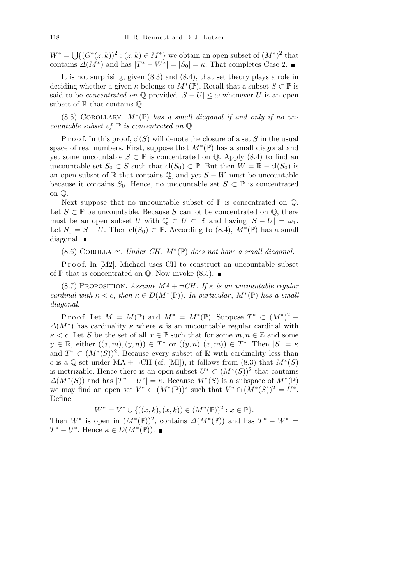$W^* = \bigcup \{ (G^*(z, k))^2 : (z, k) \in M^* \}$  we obtain an open subset of  $(M^*)^2$  that contains  $\Delta(M^*)$  and has  $|T^* - W^*| = |S_0| = \kappa$ . That completes Case 2.

It is not surprising, given (8.3) and (8.4), that set theory plays a role in deciding whether a given  $\kappa$  belongs to  $M^*(\mathbb{P})$ . Recall that a subset  $S \subset \mathbb{P}$  is said to be *concentrated on*  $\mathbb{Q}$  provided  $|S - U| \leq \omega$  whenever *U* is an open subset of  $\mathbb R$  that contains  $\mathbb Q$ .

 $(8.5)$  COROLLARY.  $M^*(\mathbb{P})$  *has a small diagonal if and only if no uncountable subset of* P *is concentrated on* Q*.*

P r o o f. In this proof,  $cl(S)$  will denote the closure of a set S in the usual space of real numbers. First, suppose that  $M^*(\mathbb{P})$  has a small diagonal and yet some uncountable  $S \subset \mathbb{P}$  is concentrated on  $\mathbb{Q}$ . Apply (8.4) to find an uncountable set *S*<sub>0</sub> *⊂ S* such that  $cl(S_0) ⊂ P$ . But then  $W = \mathbb{R} - cl(S_0)$  is an open subset of  $\mathbb R$  that contains  $\mathbb Q$ , and yet  $S - W$  must be uncountable because it contains  $S_0$ . Hence, no uncountable set  $S \subset \mathbb{P}$  is concentrated on Q.

Next suppose that no uncountable subset of  $\mathbb P$  is concentrated on  $\mathbb Q$ . Let  $S \subset \mathbb{P}$  be uncountable. Because *S* cannot be concentrated on  $\mathbb{Q}$ , there must be an open subset *U* with  $\mathbb{Q} \subset U \subset \mathbb{R}$  and having  $|S - U| = \omega_1$ . Let  $S_0 = S - U$ . Then  $\text{cl}(S_0) \subset \mathbb{P}$ . According to (8.4),  $M^*(\mathbb{P})$  has a small diagonal.

(8.6) Corollary. *Under CH* , *M<sup>∗</sup>* (P) *does not have a small diagonal.*

Proof. In [M2], Michael uses CH to construct an uncountable subset of  $\mathbb P$  that is concentrated on  $\mathbb Q$ . Now invoke (8.5).

(8.7) PROPOSITION. *Assume MA* +  $\neg$ *CH*. If  $\kappa$  *is an uncountable regular cardinal with*  $\kappa < c$ , *then*  $\kappa \in D(M^*(\mathbb{P}))$ *. In particular*,  $M^*(\mathbb{P})$  *has a small diagonal.*

Proof. Let  $M = M(\mathbb{P})$  and  $M^* = M^*(\mathbb{P})$ . Suppose  $T^* \subset (M^*)^2$  –  $\Delta(M^*)$  has cardinality  $\kappa$  where  $\kappa$  is an uncountable regular cardinal with  $\kappa < c$ . Let *S* be the set of all  $x \in \mathbb{P}$  such that for some  $m, n \in \mathbb{Z}$  and some  $y \in \mathbb{R}$ , either  $((x, m), (y, n)) \in T^*$  or  $((y, n), (x, m)) \in T^*$ . Then  $|S| = \kappa$ and  $T^* \subset (M^*(S))^2$ . Because every subset of R with cardinality less than *c* is a Q-set under  $MA + \neg CH$  (cf. [Ml]), it follows from (8.3) that  $M^*(S)$ is metrizable. Hence there is an open subset  $U^* \subset (M^*(S))^2$  that contains  $\Delta(M^*(S))$  and has  $|T^* - U^*| = \kappa$ . Because  $M^*(S)$  is a subspace of  $M^*(\mathbb{P})$ we may find an open set  $V^* \subset (M^*(\mathbb{P}))^2$  such that  $V^* \cap (M^*(S))^2 = U^*$ . Define

$$
W^* = V^* \cup \{((x,k),(x,k)) \in (M^*(\mathbb{P}))^2 : x \in \mathbb{P}\}.
$$

Then  $W^*$  is open in  $(M^*(\mathbb{P}))^2$ , contains  $\Delta(M^*(\mathbb{P}))$  and has  $T^* - W^* =$  $T^* - U^*$ . Hence  $\kappa \in D(M^*(\mathbb{P}))$ .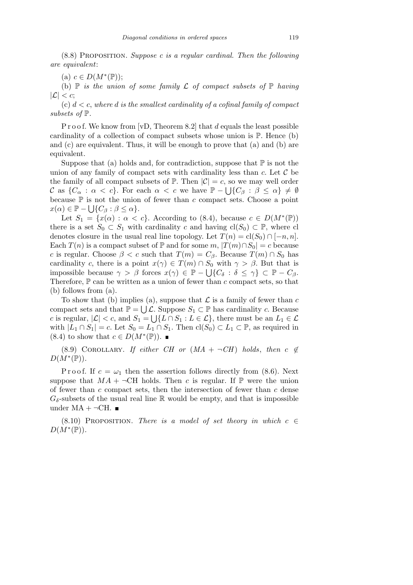(8.8) Proposition. *Suppose c is a regular cardinal. Then the following are equivalent*:

 $(c)$   $c \in D(M^*(\mathbb{P}))$ ;

(b)  $\mathbb P$  *is the union of some family*  $\mathcal L$  *of compact subsets of*  $\mathbb P$  *having*  $|\mathcal{L}| < c$ ;

(c) *d < c*, *where d is the smallest cardinality of a cofinal family of compact subsets of* P*.*

P r o o f. We know from [vD, Theorem 8.2] that *d* equals the least possible cardinality of a collection of compact subsets whose union is  $\mathbb{P}$ . Hence (b) and (c) are equivalent. Thus, it will be enough to prove that (a) and (b) are equivalent.

Suppose that (a) holds and, for contradiction, suppose that  $\mathbb P$  is not the union of any family of compact sets with cardinality less than  $c$ . Let  $\mathcal C$  be the family of all compact subsets of  $\mathbb{P}$ . Then  $|\mathcal{C}| = c$ , so we may well order *C* as  $\{C_\alpha : \alpha < c\}$ . For each  $\alpha < c$  we have  $\mathbb{P} - \bigcup \{C_\beta : \beta \le \alpha\} \neq \emptyset$ because  $\mathbb P$  is not the union of fewer than *c* compact sets. Choose a point  $x(\alpha) \in \mathbb{P} - \bigcup \{C_{\beta} : \beta \leq \alpha\}.$ 

Let  $S_1 = \{x(\alpha) : \alpha < c\}$ . According to (8.4), because  $c \in D(M^*(\mathbb{P}))$ there is a set  $S_0 \subset S_1$  with cardinality *c* and having  $cl(S_0) \subset \mathbb{P}$ , where cl denotes closure in the usual real line topology. Let  $T(n) = cl(S_0) \cap [-n, n]$ . Each  $T(n)$  is a compact subset of  $\mathbb P$  and for some  $m, |T(m) \cap S_0| = c$  because *c* is regular. Choose  $\beta < c$  such that  $T(m) = C_{\beta}$ . Because  $T(m) \cap S_0$  has cardinality *c*, there is a point  $x(\gamma) \in T(m) \cap S_0$  with  $\gamma > \beta$ . But that is impossible because  $\gamma > \beta$  forces  $x(\gamma) \in \mathbb{P} - \bigcup \{C_{\delta} : \delta \leq \gamma\} \subset \mathbb{P} - C_{\beta}$ . Therefore,  $\mathbb P$  can be written as a union of fewer than  $c$  compact sets, so that (b) follows from (a).

To show that (b) implies (a), suppose that  $\mathcal L$  is a family of fewer than  $c$ compact sets and that  $\mathbb{P} = \bigcup \mathcal{L}$ . Suppose  $S_1 \subset \mathbb{P}$  has cardinality *c*. Because *c* is regular,  $|\mathcal{L}| < c$ , and  $S_1 = \bigcup \{L \cap S_1 : L \in \mathcal{L}\}\$ , there must be an  $L_1 \in \mathcal{L}$ with  $|L_1 \cap S_1| = c$ . Let  $S_0 = L_1 \cap S_1$ . Then  $\text{cl}(S_0) \subset L_1 \subset \mathbb{P}$ , as required in  $(8.4)$  to show that  $c \in D(M^*(\mathbb{P}))$ .

(8.9) COROLLARY. *If either CH or*  $(MA + \neg CH)$  *holds*, *then*  $c \notin$  $D(M^*(\mathbb{P}))$ .

P r o o f. If  $c = \omega_1$  then the assertion follows directly from (8.6). Next suppose that  $MA + \neg CH$  holds. Then *c* is regular. If  $\mathbb{P}$  were the union of fewer than *c* compact sets, then the intersection of fewer than *c* dense  $G_{\delta}$ -subsets of the usual real line R would be empty, and that is impossible under  $MA + \neg CH$ .

(8.10) PROPOSITION. *There is a model of set theory in which*  $c \in$  $D(M^*(\mathbb{P}))$ .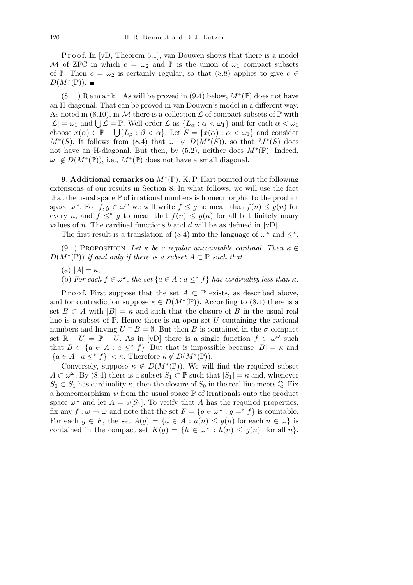P r o o f. In [vD, Theorem 5.1], van Douwen shows that there is a model *M* of ZFC in which  $c = \omega_2$  and  $\mathbb P$  is the union of  $\omega_1$  compact subsets of P. Then  $c = \omega_2$  is certainly regular, so that (8.8) applies to give  $c \in \mathcal{C}$  $D(M^*(\mathbb{P}))$ .

 $(8.11)$  R e m a r k. As will be proved in  $(9.4)$  below,  $M^*(\mathbb{P})$  does not have an H-diagonal. That can be proved in van Douwen's model in a different way. As noted in  $(8.10)$ , in M there is a collection L of compact subsets of  $\mathbb{P}$  with *As* noted in (8.10), in *N*t there is a conection *L* of compact subsets of  $\mathbb{F}$  with  $|\mathcal{L}| = \omega_1$  and  $\bigcup \mathcal{L} = \mathbb{P}$ . Well order  $\mathcal{L}$  as  $\{L_\alpha : \alpha < \omega_1\}$  and for each  $\alpha < \omega_1$ choose  $x(\alpha) \in \mathbb{P} - \bigcup \{L_{\beta} : \beta < \alpha\}$ . Let  $S = \{x(\alpha) : \alpha < \omega_1\}$  and consider *M*<sup>\*</sup>(*S*). It follows from (8.4) that  $\omega_1 \notin D(M^*(S))$ , so that  $M^*(S)$  does not have an H-diagonal. But then, by  $(5.2)$ , neither does  $M^*(\mathbb{P})$ . Indeed,  $\omega_1 \notin D(M^*(\mathbb{P}))$ , i.e.,  $M^*(\mathbb{P})$  does not have a small diagonal.

**9. Additional remarks on** *M<sup>∗</sup>* (P)**.** K. P. Hart pointed out the following extensions of our results in Section 8. In what follows, we will use the fact that the usual space  $\mathbb P$  of irrational numbers is homeomorphic to the product space  $\omega^{\omega}$ . For  $f, g \in \omega^{\omega}$  we will write  $f \leq g$  to mean that  $f(n) \leq g(n)$  for every *n*, and  $f \leq^* g$  to mean that  $f(n) \leq g(n)$  for all but finitely many values of *n*. The cardinal functions *b* and *d* will be as defined in [vD].

The first result is a translation of (8.4) into the language of  $\omega^{\omega}$  and  $\leq^*$ .

(9.1) PROPOSITION. Let  $\kappa$  be a regular uncountable cardinal. Then  $\kappa \notin$  $D(M^*(\mathbb{P}))$  *if and only if there is a subset*  $A \subset \mathbb{P}$  *such that:* 

- $(A)$   $|A| = \kappa;$
- (b) For each  $f \in \omega^{\omega}$ , the set  $\{a \in A : a \leq^* f\}$  has cardinality less than  $\kappa$ .

P r o o f. First suppose that the set  $A \subset \mathbb{P}$  exists, as described above, and for contradiction suppose  $\kappa \in D(M^*(\mathbb{P}))$ . According to (8.4) there is a set  $B \subset A$  with  $|B| = \kappa$  and such that the closure of *B* in the usual real line is a subset of  $P$ . Hence there is an open set  $U$  containing the rational numbers and having  $U \cap B = \emptyset$ . But then *B* is contained in the *σ*-compact set  $\mathbb{R} - U = \mathbb{P} - U$ . As in [vD] there is a single function  $f \in \omega^\omega$  such that  $B \subset \{a \in A : a \leq^* f\}$ . But that is impossible because  $|B| = \kappa$  and  $|\{a \in A : a \leq^* f\}| < \kappa$ . Therefore  $\kappa \notin D(M^*(\mathbb{P}))$ .

Conversely, suppose  $\kappa \notin D(M^*(\mathbb{P}))$ . We will find the required subset  $A \subset \omega^{\omega}$ . By (8.4) there is a subset  $S_1 \subset \mathbb{P}$  such that  $|S_1| = \kappa$  and, whenever  $S_0 \subset S_1$  has cardinality  $\kappa$ , then the closure of  $S_0$  in the real line meets Q. Fix a homeomorphism  $\psi$  from the usual space  $\mathbb P$  of irrationals onto the product space  $\omega^{\omega}$  and let  $A = \psi[S_1]$ . To verify that *A* has the required properties, fix any  $f: \omega \to \omega$  and note that the set  $F = \{g \in \omega^\omega : g =^* f\}$  is countable. For each  $g \in F$ , the set  $A(g) = \{a \in A : a(n) \leq g(n) \text{ for each } n \in \omega\}$  is contained in the compact set  $K(g) = \{h \in \omega^\omega : h(n) \leq g(n) \text{ for all } n\}.$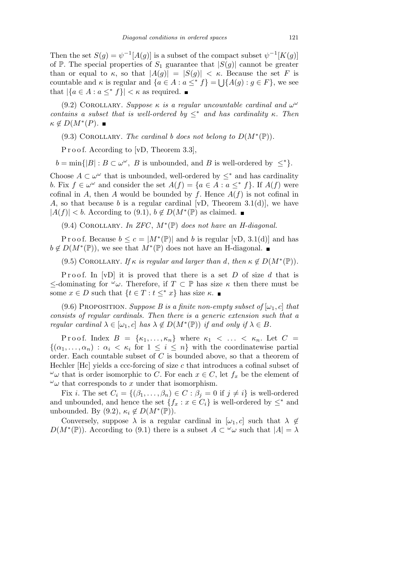Then the set  $S(g) = \psi^{-1}[A(g)]$  is a subset of the compact subset  $\psi^{-1}[K(g)]$ of  $\mathbb{P}$ . The special properties of  $S_1$  guarantee that  $|S(g)|$  cannot be greater than or equal to  $\kappa$ , so that  $|A(g)| = |S(g)| < \kappa$ . Because the set *F* is countable and  $\kappa$  is regular and  $\{a \in A : a \leq^* f\} = \iota \setminus \{A(g) : g \in F\}$ , we see that  $|\{a \in A : a \leq^* f\}| < \kappa$  as required.

(9.2) COROLLARY. *Suppose*  $\kappa$  *is a regular uncountable cardinal and*  $\omega^{\omega}$ *contains a subset that is well-ordered by*  $\leq^*$  *and has cardinality*  $\kappa$ *. Then*  $\kappa \notin D(M^*(P)).$ 

(9.3) COROLLARY. *The cardinal b does not belong to*  $D(M^*(\mathbb{P}))$ *.* 

P r o o f. According to [vD, Theorem 3.3],

 $b = \min\{|B| : B \subset \omega^\omega, B \text{ is unbounded, and } B \text{ is well-ordered by } \leq^* \}.$ 

Choose  $A \subset \omega^\omega$  that is unbounded, well-ordered by  $\leq^*$  and has cardinality *b*. Fix  $f \in \omega^\omega$  and consider the set  $A(f) = \{a \in A : a \leq^* f\}$ . If  $A(f)$  were cofinal in *A*, then *A* would be bounded by *f*. Hence  $A(f)$  is not cofinal in *A*, so that because *b* is a regular cardinal [vD, Theorem 3.1(d)], we have  $|A(f)| < b$ . According to (9.1),  $b \notin D(M^*(\mathbb{P}))$  as claimed.

(9.4) Corollary. *In ZFC* , *M<sup>∗</sup>* (P) *does not have an H-diagonal.*

P r o o f. Because  $b \leq c = |M^*(\mathbb{P})|$  and b is regular [vD, 3.1(d)] and has  $b \notin D(M^*(\mathbb{P}))$ , we see that  $M^*(\mathbb{P})$  does not have an H-diagonal.

(9.5) COROLLARY. *If*  $\kappa$  *is regular and larger than d, then*  $\kappa \notin D(M^*(\mathbb{P}))$ *.* 

Proof. In [vD] it is proved that there is a set *D* of size *d* that is *≤*-dominating for *<sup>ω</sup>ω*. Therefore, if *T ⊂* P has size *κ* then there must be some  $x \in D$  such that  $\{t \in T : t \leq^* x\}$  has size  $\kappa$ .

(9.6) PROPOSITION. *Suppose B is a finite non-empty subset of*  $[\omega_1, c]$  *that consists of regular cardinals. Then there is a generic extension such that a regular cardinal*  $\lambda \in [\omega_1, c]$  *has*  $\lambda \notin D(M^*(\mathbb{P}))$  *if and only if*  $\lambda \in B$ *.* 

Proof. Index  $B = {\kappa_1, \ldots, \kappa_n}$  where  $\kappa_1 < \ldots < \kappa_n$ . Let  $C =$  $\{(\alpha_1, \ldots, \alpha_n) : \alpha_i \leq \kappa_i \text{ for } 1 \leq i \leq n\}$  with the coordinatewise partial order. Each countable subset of *C* is bounded above, so that a theorem of Hechler [Hc] yields a ccc-forcing of size *c* that introduces a cofinal subset of *ωω* that is order isomorphic to *C*. For each *x*  $∈$  *C*, let *f<sub>x</sub>* be the element of  $\omega$  that corresponds to *x* under that isomorphism.

Fix *i*. The set  $C_i = \{(\beta_1, \ldots, \beta_n) \in C : \beta_i = 0 \text{ if } j \neq i\}$  is well-ordered and unbounded, and hence the set  ${f_x : x \in C_i}$  is well-ordered by  $\leq^*$  and unbounded. By  $(9.2)$ ,  $\kappa_i \notin D(M^*(\mathbb{P}))$ .

Conversely, suppose  $\lambda$  is a regular cardinal in  $[\omega_1, c]$  such that  $\lambda \notin$  $D(M^*(\mathbb{P}))$ . According to (9.1) there is a subset  $A \subset \omega$  w such that  $|A| = \lambda$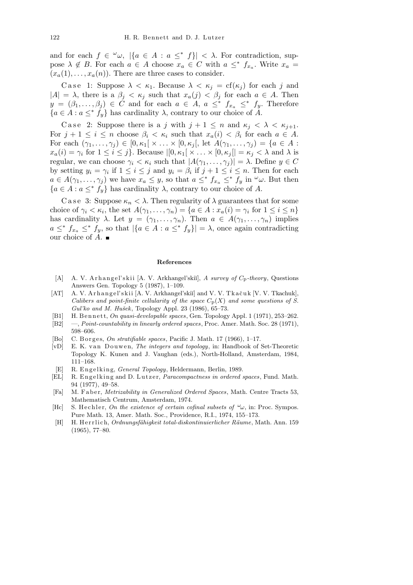and for each  $f \in \omega$ ,  $|\{a \in A : a \leq^* f\}| < \lambda$ . For contradiction, suppose  $\lambda \notin B$ . For each  $a \in A$  choose  $x_a \in C$  with  $a \leq^* f_{x_a}$ . Write  $x_a =$  $(x_a(1), \ldots, x_a(n))$ . There are three cases to consider.

Case 1: Suppose  $\lambda < \kappa_1$ . Because  $\lambda < \kappa_j = \text{cf}(\kappa_j)$  for each *j* and  $|A| = \lambda$ , there is a  $\beta_j < \kappa_j$  such that  $x_a(j) < \beta_j$  for each  $a \in A$ . Then  $y = (\beta_1, \ldots, \beta_j) \in C$  and for each  $a \in A$ ,  $a \leq^* f_{x_a} \leq^* f_y$ . Therefore  ${a \in A : a \leq^*} f_y$  has cardinality  $\lambda$ , contrary to our choice of *A*.

Case 2: Suppose there is a *j* with  $j + 1 \leq n$  and  $\kappa_j < \lambda < \kappa_{j+1}$ . For  $j + 1 \leq i \leq n$  choose  $\beta_i < \kappa_i$  such that  $x_a(i) < \beta_i$  for each  $a \in A$ . For each  $(\gamma_1, ..., \gamma_j) \in [0, \kappa_1[ \times ... \times [0, \kappa_j[$ , let  $A(\gamma_1, ..., \gamma_j) = \{a \in A :$  $x_a(i) = \gamma_i$  for  $1 \leq i \leq j$ . Because  $|[0, \kappa_1[ \times \ldots \times [0, \kappa_j[] = \kappa_j < \lambda \text{ and } \lambda \text{ is }$ regular, we can choose  $\gamma_i < \kappa_i$  such that  $|A(\gamma_1, \ldots, \gamma_j)| = \lambda$ . Define  $y \in C$ by setting  $y_i = \gamma_i$  if  $1 \leq i \leq j$  and  $y_i = \beta_i$  if  $j + 1 \leq i \leq n$ . Then for each  $a \in A(\gamma_1,\ldots,\gamma_j)$  we have  $x_a \leq y$ , so that  $a \leq^* f_{x_a} \leq^* f_y$  in  $\omega$ . But then  ${a \in A : a \leq^*} f_y$  has cardinality  $\lambda$ , contrary to our choice of *A*.

C a se 3: Suppose  $\kappa_n < \lambda$ . Then regularity of  $\lambda$  guarantees that for some choice of  $\gamma_i < \kappa_i$ , the set  $A(\gamma_1, \ldots, \gamma_n) = \{a \in A : x_a(i) = \gamma_i \text{ for } 1 \leq i \leq n\}$ has cardinality  $\lambda$ . Let  $y = (\gamma_1, \ldots, \gamma_n)$ . Then  $a \in A(\gamma_1, \ldots, \gamma_n)$  implies  $a \leq^* f_{x_a} \leq^* f_y$ , so that  $|\{a \in A : a \leq^* f_y\}| = \lambda$ , once again contradicting our choice of *A*.

## **References**

- [A] A. V. A r h a n g el' s kii [A. V. Arkhangel'ski˘ı], *A survey of C*p*-theory*, Questions Answers Gen. Topology 5 (1987), 1–109.
- [AT] A. V. Arhangel'skii [A. V. Arkhangel'skii] and V. V. Tkačuk [V. V. Tkachuk], *Calibers and point-finite cellularity of the space*  $C_p(X)$  *and some questions of S. Gul'ko and M. Huˇsek*, Topology Appl. 23 (1986), 65–73.
- [B1] H. Bennett, *On quasi-developable spaces*, Gen. Topology Appl. 1 (1971), 253-262.
- [B2] —, *Point-countability in linearly ordered spaces*, Proc. Amer. Math. Soc. 28 (1971), 598–606.
- [Bo] C. B orges, *On stratifiable spaces*, Pacific J. Math. 17 (1966), 1-17.
- [vD] E. K. van Douwen, *The integers and topology*, in: Handbook of Set-Theoretic Topology K. Kunen and J. Vaughan (eds.), North-Holland, Amsterdam, 1984, 111–168.
- [E] R. Engelking, *General Topology*, Heldermann, Berlin, 1989.
- [EL] R. Engelking and D. Lutzer, *Paracompactness in ordered spaces*, Fund. Math. 94 (1977), 49–58.
- [Fa] M. F a b e r, *Metrizability in Generalized Ordered Spaces*, Math. Centre Tracts 53, Mathematisch Centrum, Amsterdam, 1974.
- [Hc] S. He chler, *On the existence of certain cofinal subsets of*  $\omega_{\omega}$ , in: Proc. Sympos. Pure Math. 13, Amer. Math. Soc., Providence, R.I., 1974, 155–173.
- [H] H. Herrlich, *Ordnungsfähigkeit total-diskontinuierlicher Räume*, Math. Ann. 159 (1965), 77–80.